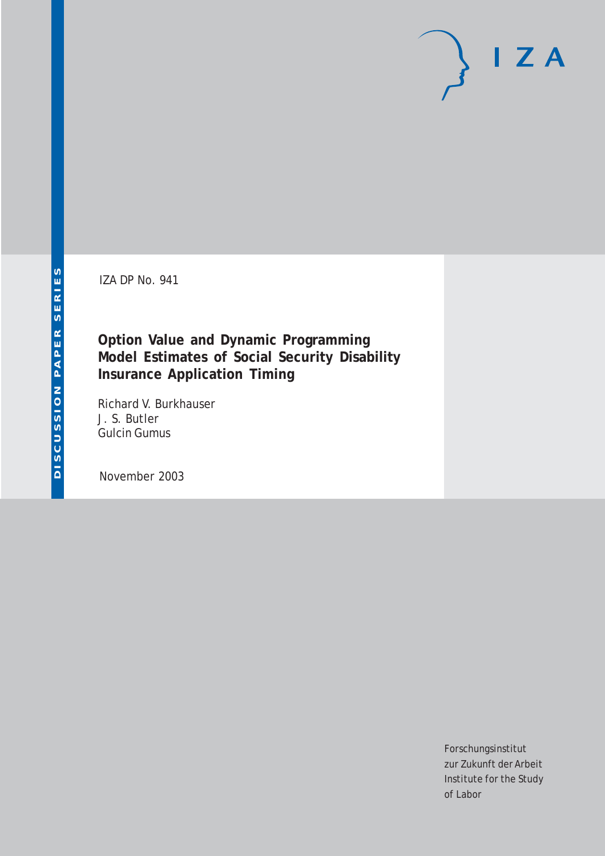IZA DP No. 941

## **Option Value and Dynamic Programming Model Estimates of Social Security Disability Insurance Application Timing**

Richard V. Burkhauser J. S. Butler Gulcin Gumus

November 2003

Forschungsinstitut zur Zukunft der Arbeit Institute for the Study of Labor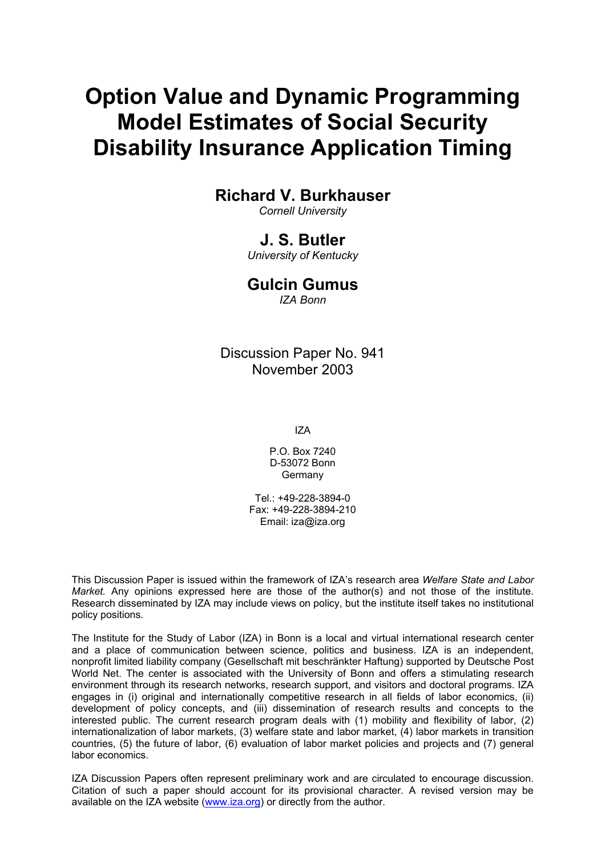# **Option Value and Dynamic Programming Model Estimates of Social Security Disability Insurance Application Timing**

## **Richard V. Burkhauser**

*Cornell University* 

## **J. S. Butler**

*University of Kentucky* 

## **Gulcin Gumus**

*IZA Bonn* 

Discussion Paper No. 941 November 2003

IZA

P.O. Box 7240 D-53072 Bonn Germany

 $Tel + 49-228-3894-0$ Fax: +49-228-3894-210 Email: [iza@iza.org](mailto:iza@iza.org)

This Discussion Paper is issued within the framework of IZA's research area *Welfare State and Labor Market.* Any opinions expressed here are those of the author(s) and not those of the institute. Research disseminated by IZA may include views on policy, but the institute itself takes no institutional policy positions.

The Institute for the Study of Labor (IZA) in Bonn is a local and virtual international research center and a place of communication between science, politics and business. IZA is an independent, nonprofit limited liability company (Gesellschaft mit beschränkter Haftung) supported by Deutsche Post World Net. The center is associated with the University of Bonn and offers a stimulating research environment through its research networks, research support, and visitors and doctoral programs. IZA engages in (i) original and internationally competitive research in all fields of labor economics, (ii) development of policy concepts, and (iii) dissemination of research results and concepts to the interested public. The current research program deals with (1) mobility and flexibility of labor, (2) internationalization of labor markets, (3) welfare state and labor market, (4) labor markets in transition countries, (5) the future of labor, (6) evaluation of labor market policies and projects and (7) general labor economics.

IZA Discussion Papers often represent preliminary work and are circulated to encourage discussion. Citation of such a paper should account for its provisional character. A revised version may be available on the IZA website ([www.iza.org](http://www.iza.org/)) or directly from the author.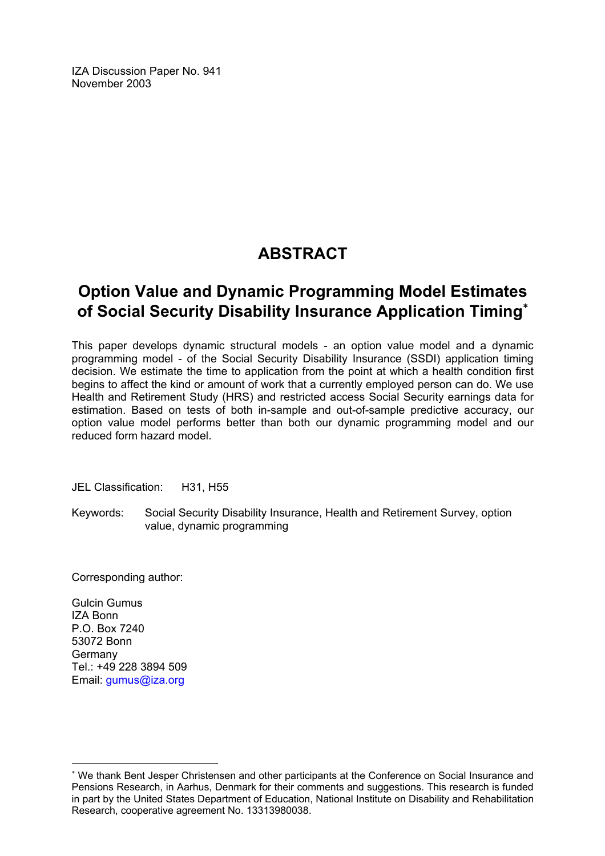IZA Discussion Paper No. 941 November 2003

## **ABSTRACT**

## **Option Value and Dynamic Programming Model Estimates of Social Security Disability Insurance Application Timing**[∗](#page-2-0)

This paper develops dynamic structural models - an option value model and a dynamic programming model - of the Social Security Disability Insurance (SSDI) application timing decision. We estimate the time to application from the point at which a health condition first begins to affect the kind or amount of work that a currently employed person can do. We use Health and Retirement Study (HRS) and restricted access Social Security earnings data for estimation. Based on tests of both in-sample and out-of-sample predictive accuracy, our option value model performs better than both our dynamic programming model and our reduced form hazard model.

JEL Classification: H31, H55

Keywords: Social Security Disability Insurance, Health and Retirement Survey, option value, dynamic programming

Corresponding author:

Gulcin Gumus IZA Bonn P.O. Box 7240 53072 Bonn Germany Tel.: +49 228 3894 509 Email: [gumus@iza.org](mailto:gumus@iza.org)

 $\overline{a}$ 

<span id="page-2-0"></span><sup>∗</sup> We thank Bent Jesper Christensen and other participants at the Conference on Social Insurance and Pensions Research, in Aarhus, Denmark for their comments and suggestions. This research is funded in part by the United States Department of Education, National Institute on Disability and Rehabilitation Research, cooperative agreement No. 13313980038.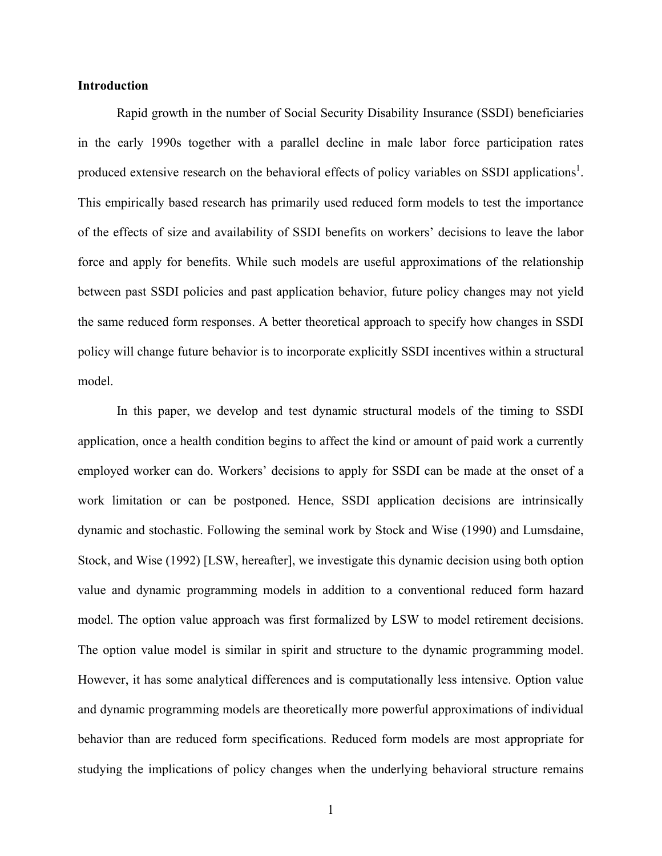#### **Introduction**

Rapid growth in the number of Social Security Disability Insurance (SSDI) beneficiaries in the early 1990s together with a parallel decline in male labor force participation rates produced extensive research on the behavioral effects of policy variables on SSDI applications<sup>1</sup>. This empirically based research has primarily used reduced form models to test the importance of the effects of size and availability of SSDI benefits on workers' decisions to leave the labor force and apply for benefits. While such models are useful approximations of the relationship between past SSDI policies and past application behavior, future policy changes may not yield the same reduced form responses. A better theoretical approach to specify how changes in SSDI policy will change future behavior is to incorporate explicitly SSDI incentives within a structural model.

In this paper, we develop and test dynamic structural models of the timing to SSDI application, once a health condition begins to affect the kind or amount of paid work a currently employed worker can do. Workers' decisions to apply for SSDI can be made at the onset of a work limitation or can be postponed. Hence, SSDI application decisions are intrinsically dynamic and stochastic. Following the seminal work by Stock and Wise (1990) and Lumsdaine, Stock, and Wise (1992) [LSW, hereafter], we investigate this dynamic decision using both option value and dynamic programming models in addition to a conventional reduced form hazard model. The option value approach was first formalized by LSW to model retirement decisions. The option value model is similar in spirit and structure to the dynamic programming model. However, it has some analytical differences and is computationally less intensive. Option value and dynamic programming models are theoretically more powerful approximations of individual behavior than are reduced form specifications. Reduced form models are most appropriate for studying the implications of policy changes when the underlying behavioral structure remains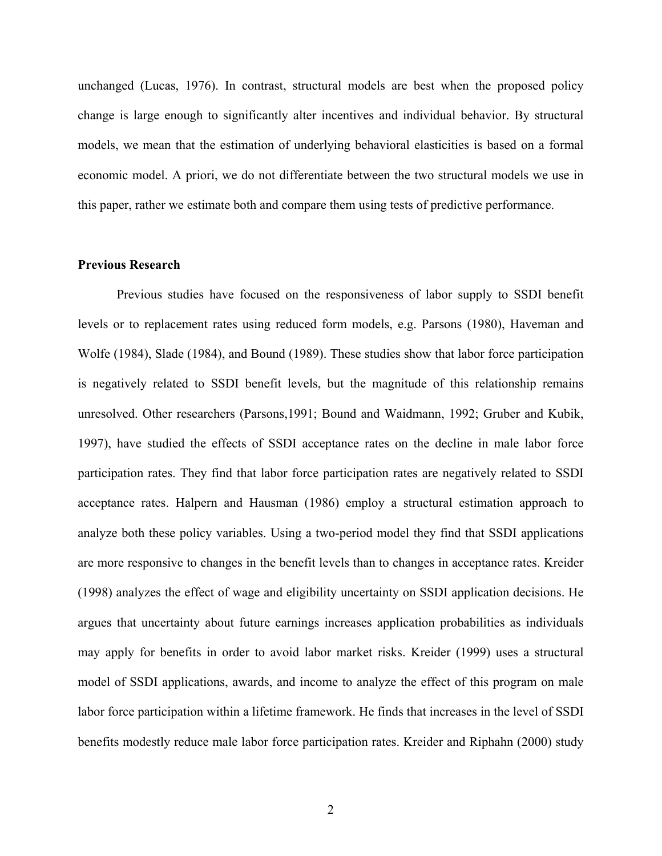unchanged (Lucas, 1976). In contrast, structural models are best when the proposed policy change is large enough to significantly alter incentives and individual behavior. By structural models, we mean that the estimation of underlying behavioral elasticities is based on a formal economic model. A priori, we do not differentiate between the two structural models we use in this paper, rather we estimate both and compare them using tests of predictive performance.

#### **Previous Research**

Previous studies have focused on the responsiveness of labor supply to SSDI benefit levels or to replacement rates using reduced form models, e.g. Parsons (1980), Haveman and Wolfe (1984), Slade (1984), and Bound (1989). These studies show that labor force participation is negatively related to SSDI benefit levels, but the magnitude of this relationship remains unresolved. Other researchers (Parsons,1991; Bound and Waidmann, 1992; Gruber and Kubik, 1997), have studied the effects of SSDI acceptance rates on the decline in male labor force participation rates. They find that labor force participation rates are negatively related to SSDI acceptance rates. Halpern and Hausman (1986) employ a structural estimation approach to analyze both these policy variables. Using a two-period model they find that SSDI applications are more responsive to changes in the benefit levels than to changes in acceptance rates. Kreider (1998) analyzes the effect of wage and eligibility uncertainty on SSDI application decisions. He argues that uncertainty about future earnings increases application probabilities as individuals may apply for benefits in order to avoid labor market risks. Kreider (1999) uses a structural model of SSDI applications, awards, and income to analyze the effect of this program on male labor force participation within a lifetime framework. He finds that increases in the level of SSDI benefits modestly reduce male labor force participation rates. Kreider and Riphahn (2000) study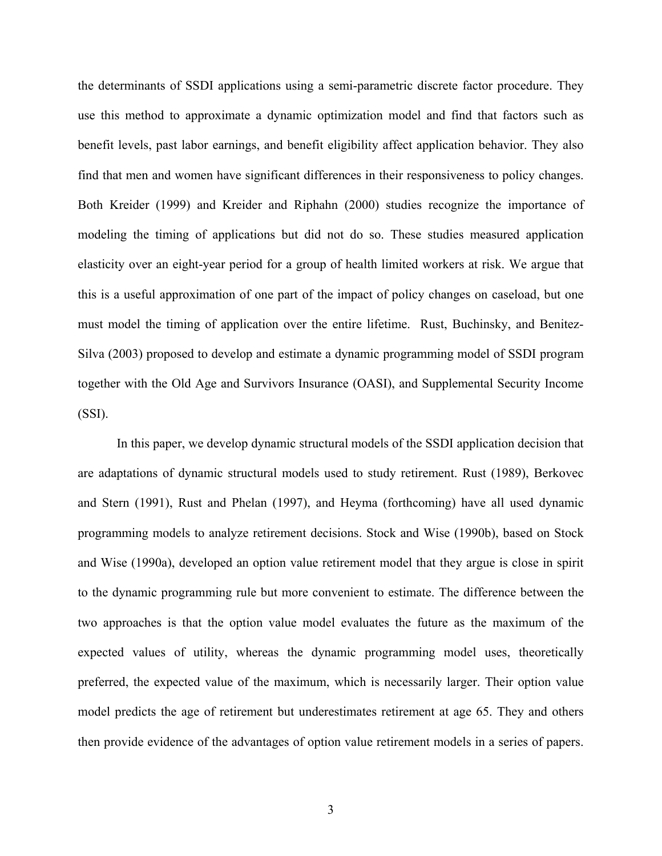the determinants of SSDI applications using a semi-parametric discrete factor procedure. They use this method to approximate a dynamic optimization model and find that factors such as benefit levels, past labor earnings, and benefit eligibility affect application behavior. They also find that men and women have significant differences in their responsiveness to policy changes. Both Kreider (1999) and Kreider and Riphahn (2000) studies recognize the importance of modeling the timing of applications but did not do so. These studies measured application elasticity over an eight-year period for a group of health limited workers at risk. We argue that this is a useful approximation of one part of the impact of policy changes on caseload, but one must model the timing of application over the entire lifetime. Rust, Buchinsky, and Benitez-Silva (2003) proposed to develop and estimate a dynamic programming model of SSDI program together with the Old Age and Survivors Insurance (OASI), and Supplemental Security Income (SSI).

In this paper, we develop dynamic structural models of the SSDI application decision that are adaptations of dynamic structural models used to study retirement. Rust (1989), Berkovec and Stern (1991), Rust and Phelan (1997), and Heyma (forthcoming) have all used dynamic programming models to analyze retirement decisions. Stock and Wise (1990b), based on Stock and Wise (1990a), developed an option value retirement model that they argue is close in spirit to the dynamic programming rule but more convenient to estimate. The difference between the two approaches is that the option value model evaluates the future as the maximum of the expected values of utility, whereas the dynamic programming model uses, theoretically preferred, the expected value of the maximum, which is necessarily larger. Their option value model predicts the age of retirement but underestimates retirement at age 65. They and others then provide evidence of the advantages of option value retirement models in a series of papers.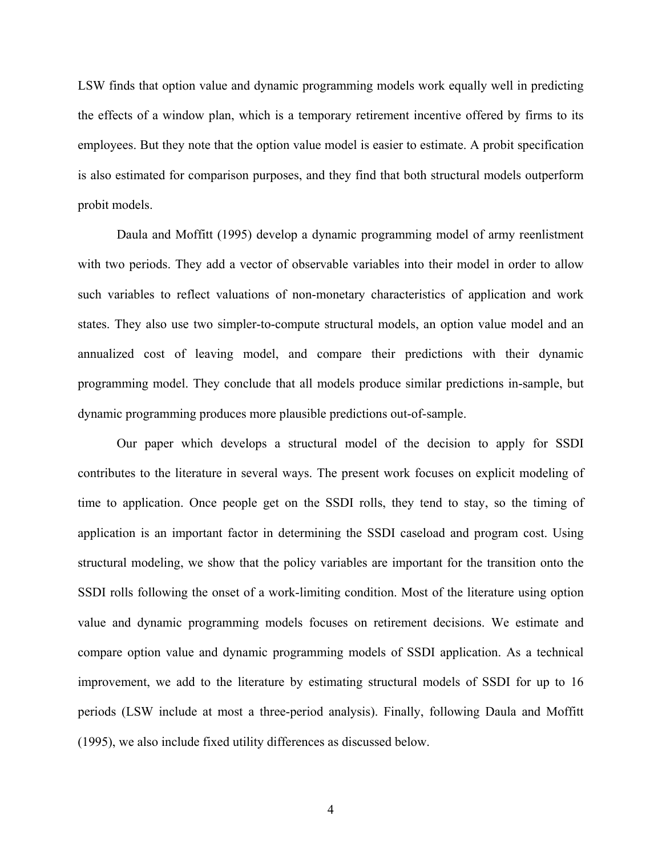LSW finds that option value and dynamic programming models work equally well in predicting the effects of a window plan, which is a temporary retirement incentive offered by firms to its employees. But they note that the option value model is easier to estimate. A probit specification is also estimated for comparison purposes, and they find that both structural models outperform probit models.

Daula and Moffitt (1995) develop a dynamic programming model of army reenlistment with two periods. They add a vector of observable variables into their model in order to allow such variables to reflect valuations of non-monetary characteristics of application and work states. They also use two simpler-to-compute structural models, an option value model and an annualized cost of leaving model, and compare their predictions with their dynamic programming model. They conclude that all models produce similar predictions in-sample, but dynamic programming produces more plausible predictions out-of-sample.

Our paper which develops a structural model of the decision to apply for SSDI contributes to the literature in several ways. The present work focuses on explicit modeling of time to application. Once people get on the SSDI rolls, they tend to stay, so the timing of application is an important factor in determining the SSDI caseload and program cost. Using structural modeling, we show that the policy variables are important for the transition onto the SSDI rolls following the onset of a work-limiting condition. Most of the literature using option value and dynamic programming models focuses on retirement decisions. We estimate and compare option value and dynamic programming models of SSDI application. As a technical improvement, we add to the literature by estimating structural models of SSDI for up to 16 periods (LSW include at most a three-period analysis). Finally, following Daula and Moffitt (1995), we also include fixed utility differences as discussed below.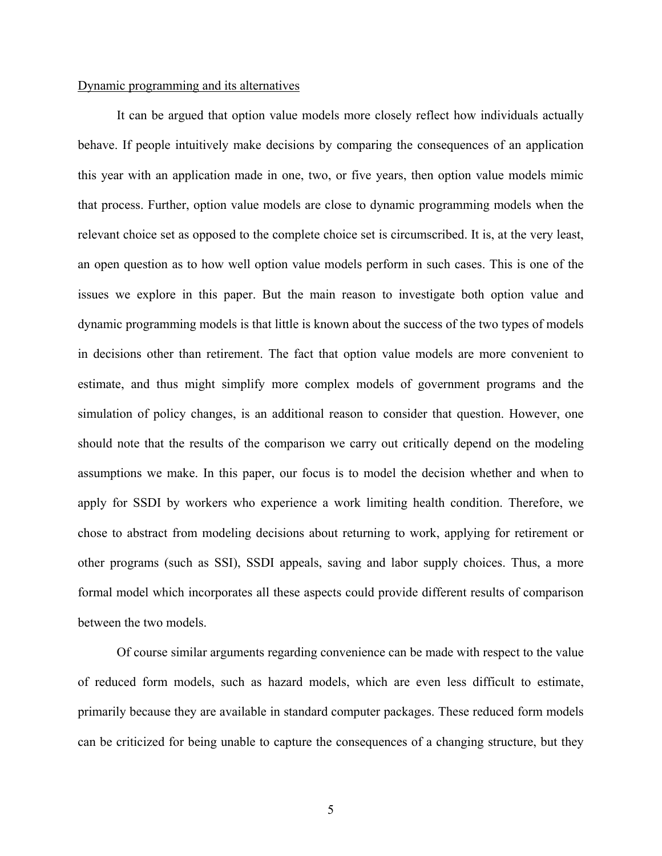#### Dynamic programming and its alternatives

It can be argued that option value models more closely reflect how individuals actually behave. If people intuitively make decisions by comparing the consequences of an application this year with an application made in one, two, or five years, then option value models mimic that process. Further, option value models are close to dynamic programming models when the relevant choice set as opposed to the complete choice set is circumscribed. It is, at the very least, an open question as to how well option value models perform in such cases. This is one of the issues we explore in this paper. But the main reason to investigate both option value and dynamic programming models is that little is known about the success of the two types of models in decisions other than retirement. The fact that option value models are more convenient to estimate, and thus might simplify more complex models of government programs and the simulation of policy changes, is an additional reason to consider that question. However, one should note that the results of the comparison we carry out critically depend on the modeling assumptions we make. In this paper, our focus is to model the decision whether and when to apply for SSDI by workers who experience a work limiting health condition. Therefore, we chose to abstract from modeling decisions about returning to work, applying for retirement or other programs (such as SSI), SSDI appeals, saving and labor supply choices. Thus, a more formal model which incorporates all these aspects could provide different results of comparison between the two models.

Of course similar arguments regarding convenience can be made with respect to the value of reduced form models, such as hazard models, which are even less difficult to estimate, primarily because they are available in standard computer packages. These reduced form models can be criticized for being unable to capture the consequences of a changing structure, but they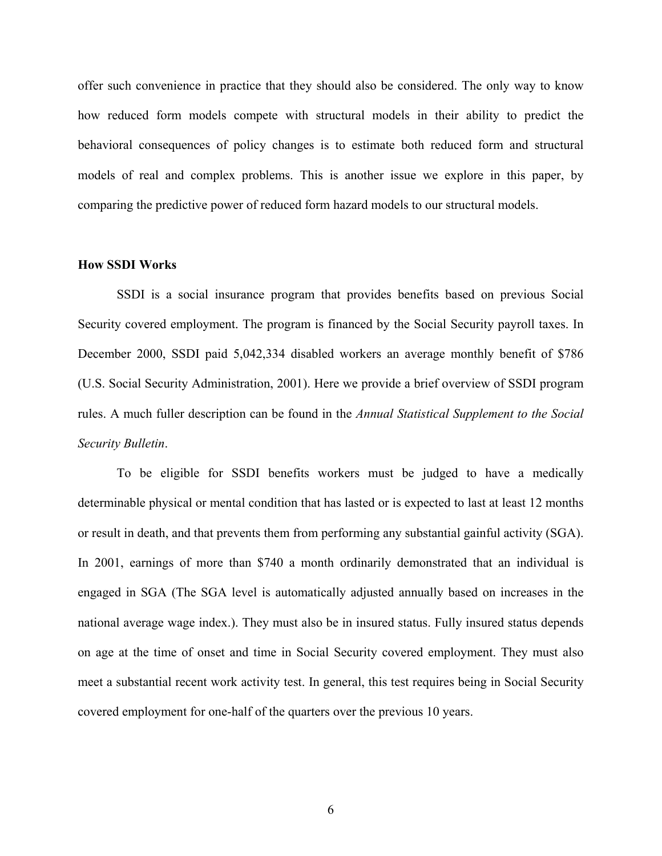offer such convenience in practice that they should also be considered. The only way to know how reduced form models compete with structural models in their ability to predict the behavioral consequences of policy changes is to estimate both reduced form and structural models of real and complex problems. This is another issue we explore in this paper, by comparing the predictive power of reduced form hazard models to our structural models.

#### **How SSDI Works**

SSDI is a social insurance program that provides benefits based on previous Social Security covered employment. The program is financed by the Social Security payroll taxes. In December 2000, SSDI paid 5,042,334 disabled workers an average monthly benefit of \$786 (U.S. Social Security Administration, 2001). Here we provide a brief overview of SSDI program rules. A much fuller description can be found in the *Annual Statistical Supplement to the Social Security Bulletin*.

To be eligible for SSDI benefits workers must be judged to have a medically determinable physical or mental condition that has lasted or is expected to last at least 12 months or result in death, and that prevents them from performing any substantial gainful activity (SGA). In 2001, earnings of more than \$740 a month ordinarily demonstrated that an individual is engaged in SGA (The SGA level is automatically adjusted annually based on increases in the national average wage index.). They must also be in insured status. Fully insured status depends on age at the time of onset and time in Social Security covered employment. They must also meet a substantial recent work activity test. In general, this test requires being in Social Security covered employment for one-half of the quarters over the previous 10 years.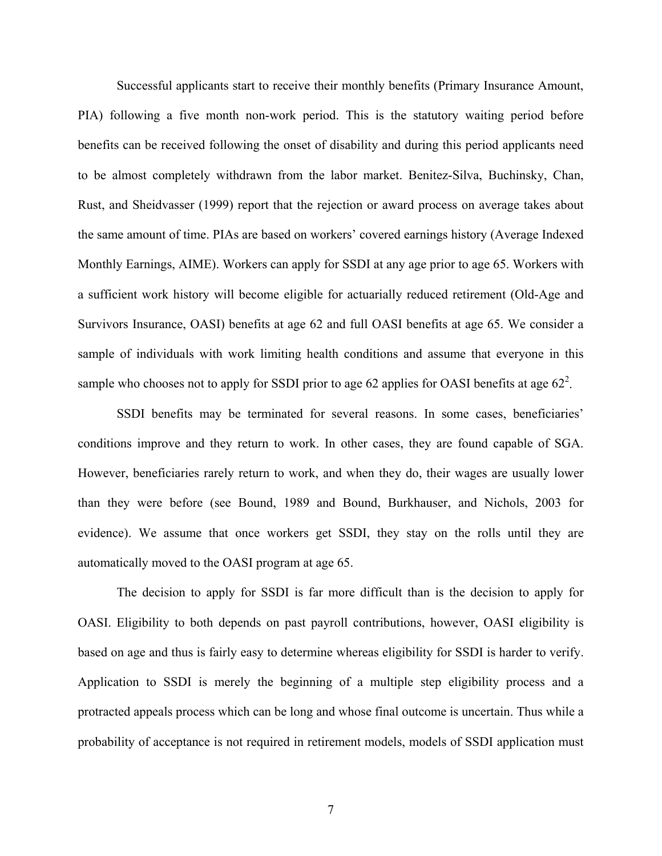Successful applicants start to receive their monthly benefits (Primary Insurance Amount, PIA) following a five month non-work period. This is the statutory waiting period before benefits can be received following the onset of disability and during this period applicants need to be almost completely withdrawn from the labor market. Benitez-Silva, Buchinsky, Chan, Rust, and Sheidvasser (1999) report that the rejection or award process on average takes about the same amount of time. PIAs are based on workers' covered earnings history (Average Indexed Monthly Earnings, AIME). Workers can apply for SSDI at any age prior to age 65. Workers with a sufficient work history will become eligible for actuarially reduced retirement (Old-Age and Survivors Insurance, OASI) benefits at age 62 and full OASI benefits at age 65. We consider a sample of individuals with work limiting health conditions and assume that everyone in this sample who chooses not to apply for SSDI prior to age 62 applies for OASI benefits at age  $62^2$ .

SSDI benefits may be terminated for several reasons. In some cases, beneficiaries' conditions improve and they return to work. In other cases, they are found capable of SGA. However, beneficiaries rarely return to work, and when they do, their wages are usually lower than they were before (see Bound, 1989 and Bound, Burkhauser, and Nichols, 2003 for evidence). We assume that once workers get SSDI, they stay on the rolls until they are automatically moved to the OASI program at age 65.

The decision to apply for SSDI is far more difficult than is the decision to apply for OASI. Eligibility to both depends on past payroll contributions, however, OASI eligibility is based on age and thus is fairly easy to determine whereas eligibility for SSDI is harder to verify. Application to SSDI is merely the beginning of a multiple step eligibility process and a protracted appeals process which can be long and whose final outcome is uncertain. Thus while a probability of acceptance is not required in retirement models, models of SSDI application must

7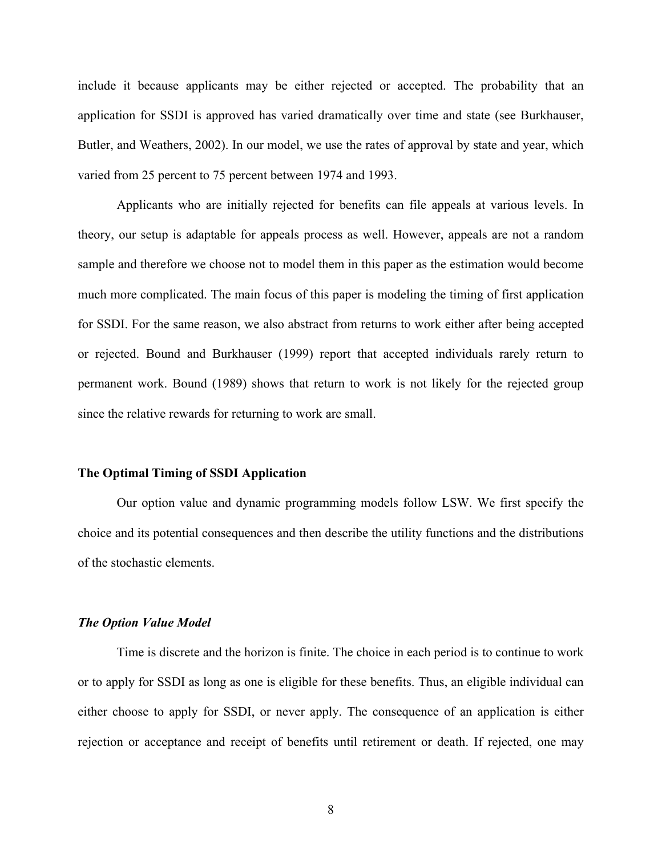include it because applicants may be either rejected or accepted. The probability that an application for SSDI is approved has varied dramatically over time and state (see Burkhauser, Butler, and Weathers, 2002). In our model, we use the rates of approval by state and year, which varied from 25 percent to 75 percent between 1974 and 1993.

Applicants who are initially rejected for benefits can file appeals at various levels. In theory, our setup is adaptable for appeals process as well. However, appeals are not a random sample and therefore we choose not to model them in this paper as the estimation would become much more complicated. The main focus of this paper is modeling the timing of first application for SSDI. For the same reason, we also abstract from returns to work either after being accepted or rejected. Bound and Burkhauser (1999) report that accepted individuals rarely return to permanent work. Bound (1989) shows that return to work is not likely for the rejected group since the relative rewards for returning to work are small.

#### **The Optimal Timing of SSDI Application**

Our option value and dynamic programming models follow LSW. We first specify the choice and its potential consequences and then describe the utility functions and the distributions of the stochastic elements.

#### *The Option Value Model*

Time is discrete and the horizon is finite. The choice in each period is to continue to work or to apply for SSDI as long as one is eligible for these benefits. Thus, an eligible individual can either choose to apply for SSDI, or never apply. The consequence of an application is either rejection or acceptance and receipt of benefits until retirement or death. If rejected, one may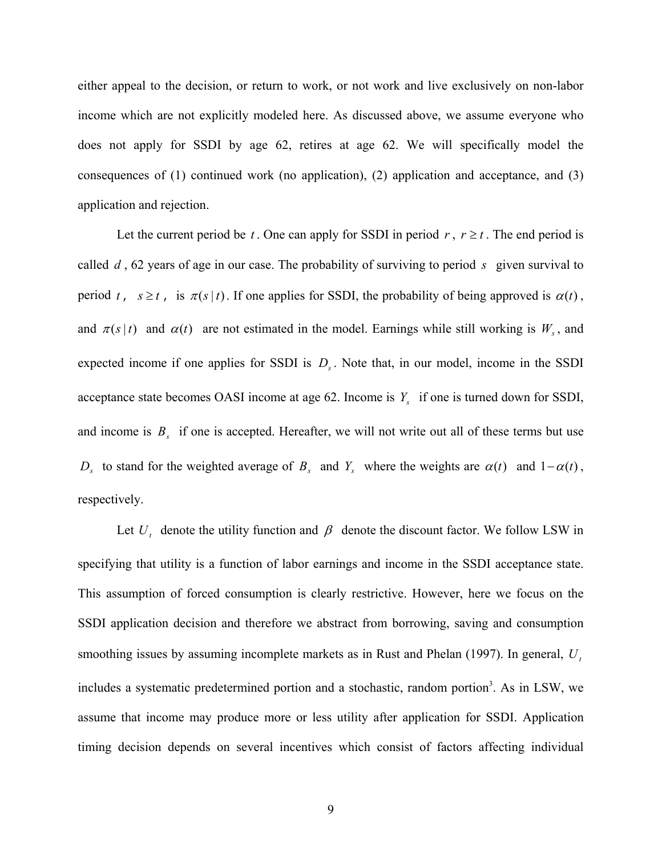either appeal to the decision, or return to work, or not work and live exclusively on non-labor income which are not explicitly modeled here. As discussed above, we assume everyone who does not apply for SSDI by age 62, retires at age 62. We will specifically model the consequences of (1) continued work (no application), (2) application and acceptance, and (3) application and rejection.

Let the current period be *t*. One can apply for SSDI in period *r*,  $r \ge t$ . The end period is called *d* , 62 years of age in our case. The probability of surviving to period *s* given survival to period *t*,  $s \ge t$ , is  $\pi(s|t)$ . If one applies for SSDI, the probability of being approved is  $\alpha(t)$ , and  $\pi(s|t)$  and  $\alpha(t)$  are not estimated in the model. Earnings while still working is  $W_s$ , and expected income if one applies for SSDI is  $D<sub>s</sub>$ . Note that, in our model, income in the SSDI acceptance state becomes OASI income at age 62. Income is  $Y_s$  if one is turned down for SSDI, and income is  $B_s$  if one is accepted. Hereafter, we will not write out all of these terms but use *D<sub>s</sub>* to stand for the weighted average of *B<sub>s</sub>* and *Y<sub>s</sub>* where the weights are  $\alpha(t)$  and  $1-\alpha(t)$ , respectively.

Let  $U_t$  denote the utility function and  $\beta$  denote the discount factor. We follow LSW in specifying that utility is a function of labor earnings and income in the SSDI acceptance state. This assumption of forced consumption is clearly restrictive. However, here we focus on the SSDI application decision and therefore we abstract from borrowing, saving and consumption smoothing issues by assuming incomplete markets as in Rust and Phelan (1997). In general, *Ut* includes a systematic predetermined portion and a stochastic, random portion<sup>3</sup>. As in LSW, we assume that income may produce more or less utility after application for SSDI. Application timing decision depends on several incentives which consist of factors affecting individual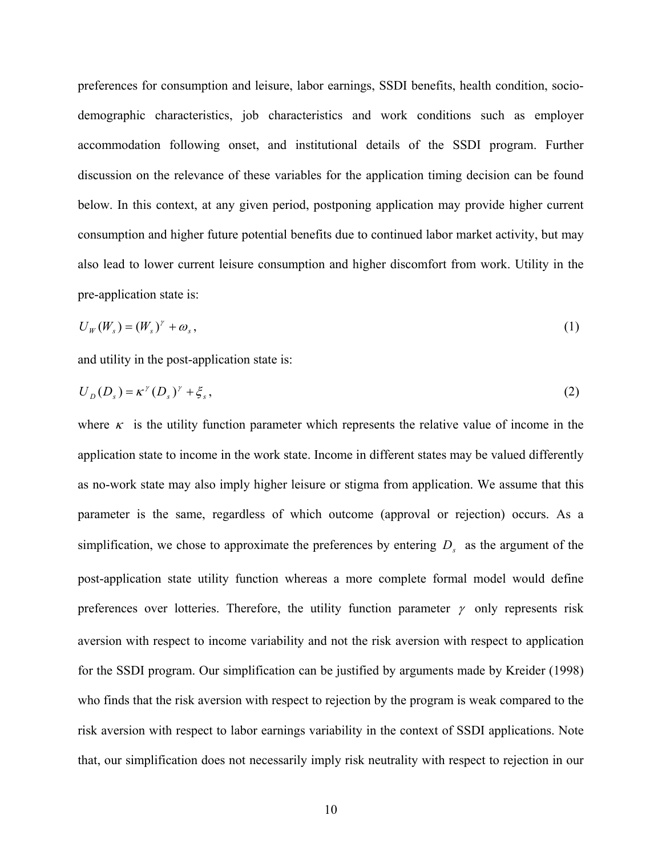preferences for consumption and leisure, labor earnings, SSDI benefits, health condition, sociodemographic characteristics, job characteristics and work conditions such as employer accommodation following onset, and institutional details of the SSDI program. Further discussion on the relevance of these variables for the application timing decision can be found below. In this context, at any given period, postponing application may provide higher current consumption and higher future potential benefits due to continued labor market activity, but may also lead to lower current leisure consumption and higher discomfort from work. Utility in the pre-application state is:

$$
U_W(W_s) = (W_s)^\gamma + \omega_s \,,\tag{1}
$$

and utility in the post-application state is:

$$
U_D(D_s) = \kappa^{\gamma}(D_s)^{\gamma} + \xi_s, \qquad (2)
$$

where  $\kappa$  is the utility function parameter which represents the relative value of income in the application state to income in the work state. Income in different states may be valued differently as no-work state may also imply higher leisure or stigma from application. We assume that this parameter is the same, regardless of which outcome (approval or rejection) occurs. As a simplification, we chose to approximate the preferences by entering  $D<sub>s</sub>$  as the argument of the post-application state utility function whereas a more complete formal model would define preferences over lotteries. Therefore, the utility function parameter  $\gamma$  only represents risk aversion with respect to income variability and not the risk aversion with respect to application for the SSDI program. Our simplification can be justified by arguments made by Kreider (1998) who finds that the risk aversion with respect to rejection by the program is weak compared to the risk aversion with respect to labor earnings variability in the context of SSDI applications. Note that, our simplification does not necessarily imply risk neutrality with respect to rejection in our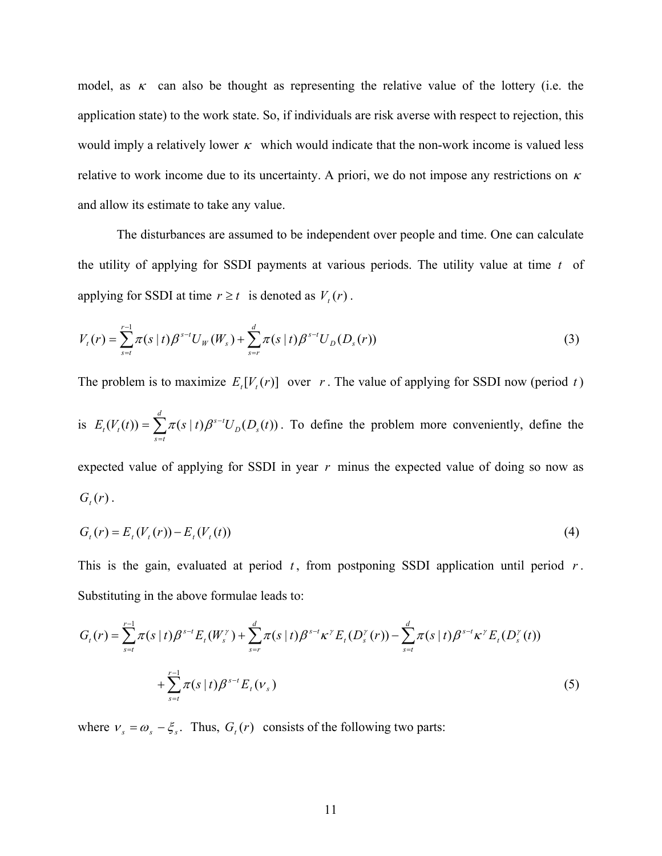model, as  $\kappa$  can also be thought as representing the relative value of the lottery (i.e. the application state) to the work state. So, if individuals are risk averse with respect to rejection, this would imply a relatively lower  $\kappa$  which would indicate that the non-work income is valued less relative to work income due to its uncertainty. A priori, we do not impose any restrictions on  $\kappa$ and allow its estimate to take any value.

The disturbances are assumed to be independent over people and time. One can calculate the utility of applying for SSDI payments at various periods. The utility value at time *t* of applying for SSDI at time  $r \ge t$  is denoted as  $V_t(r)$ .

$$
V_t(r) = \sum_{s=t}^{r-1} \pi(s \mid t) \beta^{s-t} U_W(W_s) + \sum_{s=r}^{d} \pi(s \mid t) \beta^{s-t} U_D(D_s(r))
$$
\n(3)

The problem is to maximize  $E_t[V_t(r)]$  over *r*. The value of applying for SSDI now (period *t*)

is  $E_t(V_t(t)) = \sum_{s=t}^{d} \pi(s \mid t) \beta^{s-1}$  $s = t$  $D^{U}$ <sub>s</sub>  $E_t(V_t(t)) = \sum_{k} \pi(s \mid t) \beta^{s-t} U_D(D_s(t))$ . To define the problem more conveniently, define the expected value of applying for SSDI in year *r* minus the expected value of doing so now as  $G_{t}(r)$ .

$$
G_t(r) = E_t(V_t(r)) - E_t(V_t(t))
$$
\n(4)

This is the gain, evaluated at period  $t$ , from postponing SSDI application until period  $r$ . Substituting in the above formulae leads to:

$$
G_{t}(r) = \sum_{s=t}^{r-1} \pi(s \mid t) \beta^{s-t} E_{t}(W_{s}^{r}) + \sum_{s=r}^{d} \pi(s \mid t) \beta^{s-t} \kappa^{r} E_{t}(D_{s}^{r}(r)) - \sum_{s=t}^{d} \pi(s \mid t) \beta^{s-t} \kappa^{r} E_{t}(D_{s}^{r}(t))
$$
  
+ 
$$
\sum_{s=t}^{r-1} \pi(s \mid t) \beta^{s-t} E_{t}(V_{s})
$$
(5)

where  $v_s = \omega_s - \xi_s$ . Thus,  $G_t(r)$  consists of the following two parts: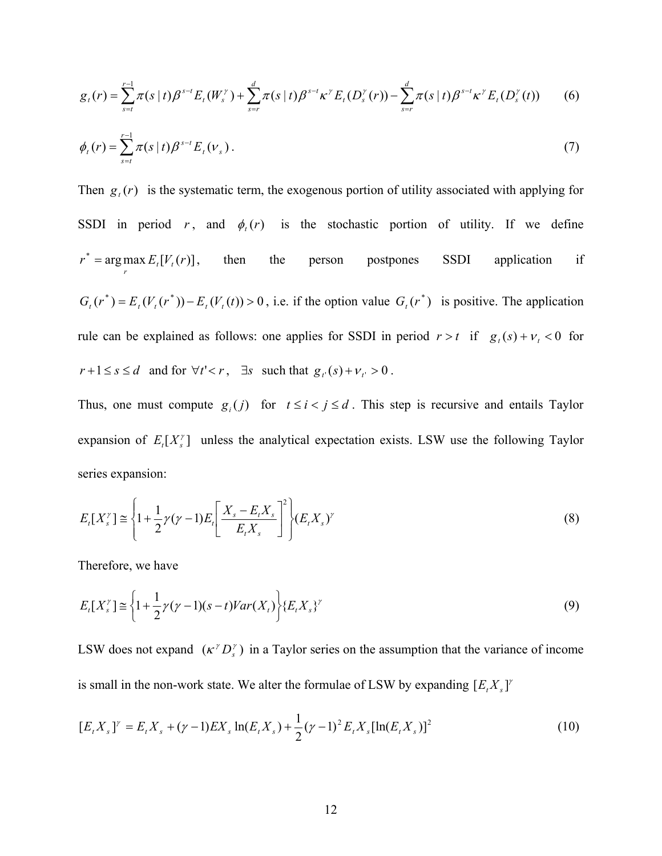$$
g_{t}(r) = \sum_{s=t}^{r-1} \pi(s \mid t) \beta^{s-t} E_{t}(W_{s}^{r}) + \sum_{s=r}^{d} \pi(s \mid t) \beta^{s-t} \kappa^{r} E_{t}(D_{s}^{r}(r)) - \sum_{s=r}^{d} \pi(s \mid t) \beta^{s-t} \kappa^{r} E_{t}(D_{s}^{r}(t)) \qquad (6)
$$

$$
\phi_t(r) = \sum_{s=t}^{r-1} \pi(s \mid t) \beta^{s-t} E_t(v_s).
$$
\n(7)

Then  $g_i(r)$  is the systematic term, the exogenous portion of utility associated with applying for SSDI in period *r*, and  $\phi_t(r)$  is the stochastic portion of utility. If we define  $r^* = \arg \max_{r} E_t[V_r(r)]$ , then the person postpones SSDI application if  $G_t(r^*) = E_t(V_t(r^*)) - E_t(V_t(t)) > 0$ , i.e. if the option value  $G_t(r^*)$  is positive. The application rule can be explained as follows: one applies for SSDI in period  $r > t$  if  $g_t(s) + v_t < 0$  for  $r+1 \leq s \leq d$  and for  $\forall t' < r$ ,  $\exists s$  such that  $g_t(s) + v_t > 0$ .

Thus, one must compute  $g_i(j)$  for  $t \le i < j \le d$ . This step is recursive and entails Taylor expansion of  $E_i[X_i^{\gamma}]$  unless the analytical expectation exists. LSW use the following Taylor series expansion:

$$
E_t[X_s^{\gamma}] \cong \left\{ 1 + \frac{1}{2} \gamma (\gamma - 1) E_t \left[ \frac{X_s - E_t X_s}{E_t X_s} \right]^2 \right\} (E_t X_s)^{\gamma}
$$
(8)

Therefore, we have

$$
E_t[X_s^{\gamma}] \cong \left\{1 + \frac{1}{2}\gamma(\gamma - 1)(s - t)Var(X_t)\right\} \{E_t X_s\}^{\gamma}
$$
\n
$$
(9)
$$

LSW does not expand  $(\kappa^r D_s^r)$  in a Taylor series on the assumption that the variance of income is small in the non-work state. We alter the formulae of LSW by expanding  $[E, X, Y]$ 

$$
[E_t X_s]^{\gamma} = E_t X_s + (\gamma - 1) E X_s \ln(E_t X_s) + \frac{1}{2} (\gamma - 1)^2 E_t X_s [\ln(E_t X_s)]^2
$$
\n(10)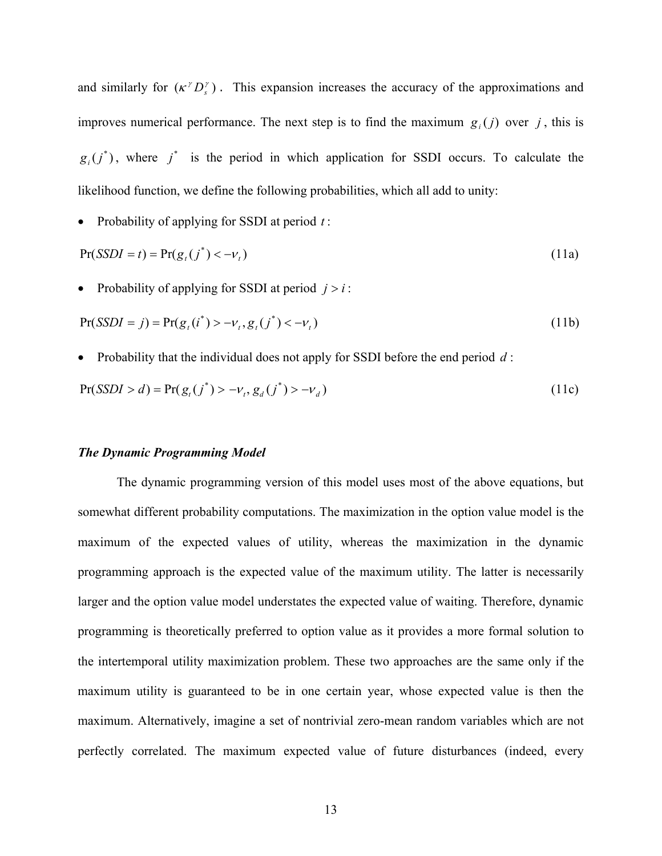and similarly for  $(\kappa^{\gamma} D_{s}^{\gamma})$ . This expansion increases the accuracy of the approximations and improves numerical performance. The next step is to find the maximum  $g_i(j)$  over *j*, this is  $g_i(j^*)$ , where  $j^*$  is the period in which application for SSDI occurs. To calculate the likelihood function, we define the following probabilities, which all add to unity:

• Probability of applying for SSDI at period *t* :

$$
Pr(SSDI = t) = Pr(g_t(j^*) < -\nu_t)
$$
\n(11a)

Probability of applying for SSDI at period  $j > i$ :

$$
Pr(SSDI = j) = Pr(gt(i*) > -vt, gt(j*) < -vt)
$$
\n(11b)

• Probability that the individual does not apply for SSDI before the end period *d* :

$$
Pr(SSDI > d) = Pr(g_t(j^*) > -\nu_t, g_d(j^*) > -\nu_d)
$$
\n(11c)

#### *The Dynamic Programming Model*

The dynamic programming version of this model uses most of the above equations, but somewhat different probability computations. The maximization in the option value model is the maximum of the expected values of utility, whereas the maximization in the dynamic programming approach is the expected value of the maximum utility. The latter is necessarily larger and the option value model understates the expected value of waiting. Therefore, dynamic programming is theoretically preferred to option value as it provides a more formal solution to the intertemporal utility maximization problem. These two approaches are the same only if the maximum utility is guaranteed to be in one certain year, whose expected value is then the maximum. Alternatively, imagine a set of nontrivial zero-mean random variables which are not perfectly correlated. The maximum expected value of future disturbances (indeed, every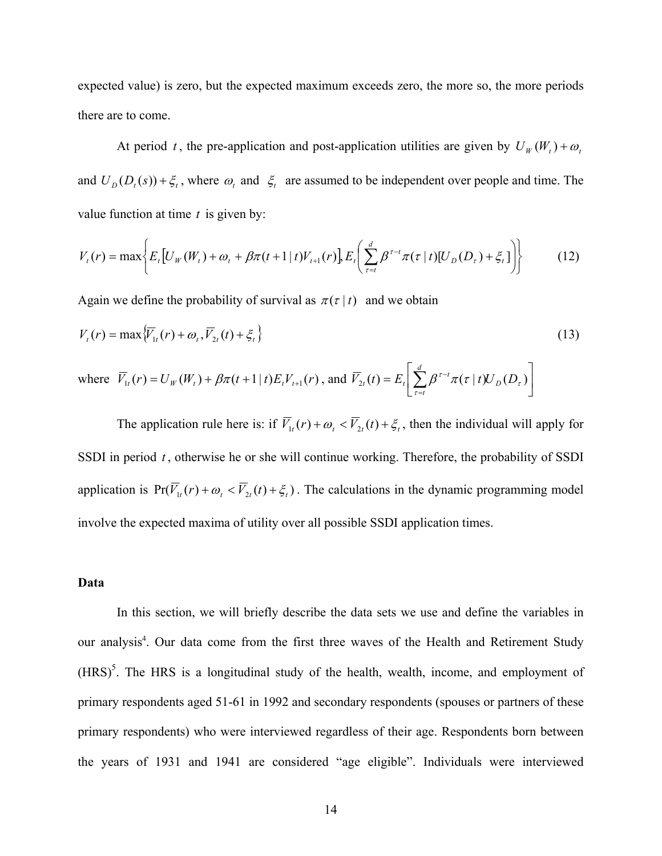expected value) is zero, but the expected maximum exceeds zero, the more so, the more periods there are to come.

At period *t*, the pre-application and post-application utilities are given by  $U_W(W_t) + \omega_t$ and  $U_D(D_t(s)) + \xi_t$ , where  $\omega_t$  and  $\xi_t$  are assumed to be independent over people and time. The value function at time *t* is given by:

$$
V_{t}(r) = \max \bigg\{ E_{t} \big[ U_{W}(W_{t}) + \omega_{t} + \beta \pi (t+1 \mid t) V_{t+1}(r) \big], E_{t} \bigg( \sum_{\tau=t}^{d} \beta^{\tau-t} \pi (\tau \mid t) [U_{D}(D_{\tau}) + \xi_{t}] \bigg) \bigg\}
$$
(12)

Again we define the probability of survival as  $\pi(\tau | t)$  and we obtain

$$
V_t(r) = \max \{ \overline{V}_{1t}(r) + \omega_t, \overline{V}_{2t}(t) + \xi_t \}
$$
\n(13)

where 
$$
\overline{V}_{1t}(r) = U_W(W_t) + \beta \pi (t+1 | t) E_t V_{t+1}(r)
$$
, and  $\overline{V}_{2t}(t) = E_t \left[ \sum_{\tau=t}^d \beta^{\tau-t} \pi(\tau | t) U_D(D_\tau) \right]$ 

The application rule here is: if  $\overline{V}_{1t}(r) + \omega_t < \overline{V}_{2t}(t) + \xi_t$ , then the individual will apply for SSDI in period *t* , otherwise he or she will continue working. Therefore, the probability of SSDI application is  $Pr(\overline{V}_{1t}(r) + \omega_t < \overline{V}_{2t}(t) + \xi_t)$ . The calculations in the dynamic programming model involve the expected maxima of utility over all possible SSDI application times.

#### **Data**

In this section, we will briefly describe the data sets we use and define the variables in our analysis<sup>4</sup>. Our data come from the first three waves of the Health and Retirement Study  $(HRS)^5$ . The HRS is a longitudinal study of the health, wealth, income, and employment of primary respondents aged 51-61 in 1992 and secondary respondents (spouses or partners of these primary respondents) who were interviewed regardless of their age. Respondents born between the years of 1931 and 1941 are considered "age eligible". Individuals were interviewed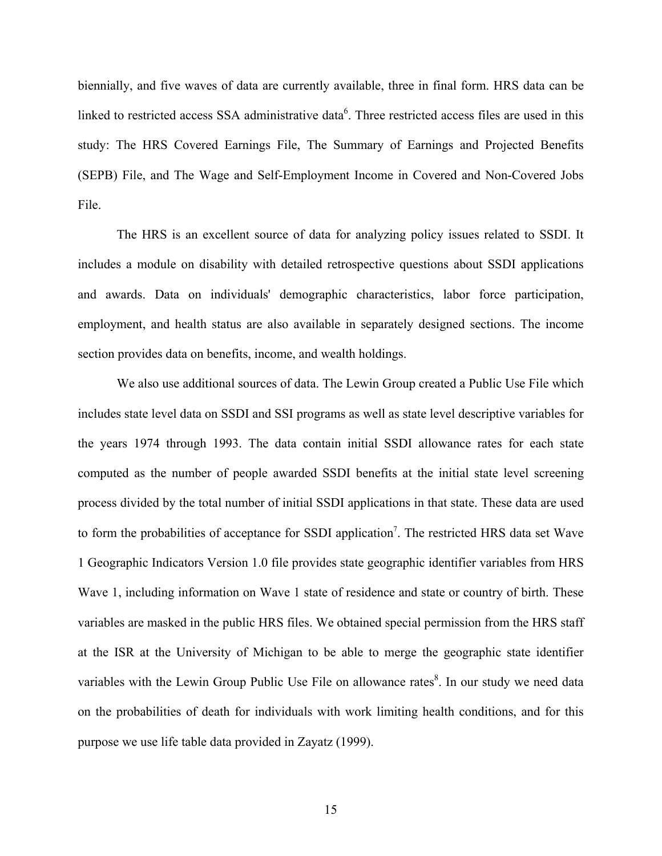biennially, and five waves of data are currently available, three in final form. HRS data can be linked to restricted access SSA administrative data<sup>6</sup>. Three restricted access files are used in this study: The HRS Covered Earnings File, The Summary of Earnings and Projected Benefits (SEPB) File, and The Wage and Self-Employment Income in Covered and Non-Covered Jobs File.

The HRS is an excellent source of data for analyzing policy issues related to SSDI. It includes a module on disability with detailed retrospective questions about SSDI applications and awards. Data on individuals' demographic characteristics, labor force participation, employment, and health status are also available in separately designed sections. The income section provides data on benefits, income, and wealth holdings.

We also use additional sources of data. The Lewin Group created a Public Use File which includes state level data on SSDI and SSI programs as well as state level descriptive variables for the years 1974 through 1993. The data contain initial SSDI allowance rates for each state computed as the number of people awarded SSDI benefits at the initial state level screening process divided by the total number of initial SSDI applications in that state. These data are used to form the probabilities of acceptance for SSDI application<sup>7</sup>. The restricted HRS data set Wave 1 Geographic Indicators Version 1.0 file provides state geographic identifier variables from HRS Wave 1, including information on Wave 1 state of residence and state or country of birth. These variables are masked in the public HRS files. We obtained special permission from the HRS staff at the ISR at the University of Michigan to be able to merge the geographic state identifier variables with the Lewin Group Public Use File on allowance rates<sup>8</sup>. In our study we need data on the probabilities of death for individuals with work limiting health conditions, and for this purpose we use life table data provided in Zayatz (1999).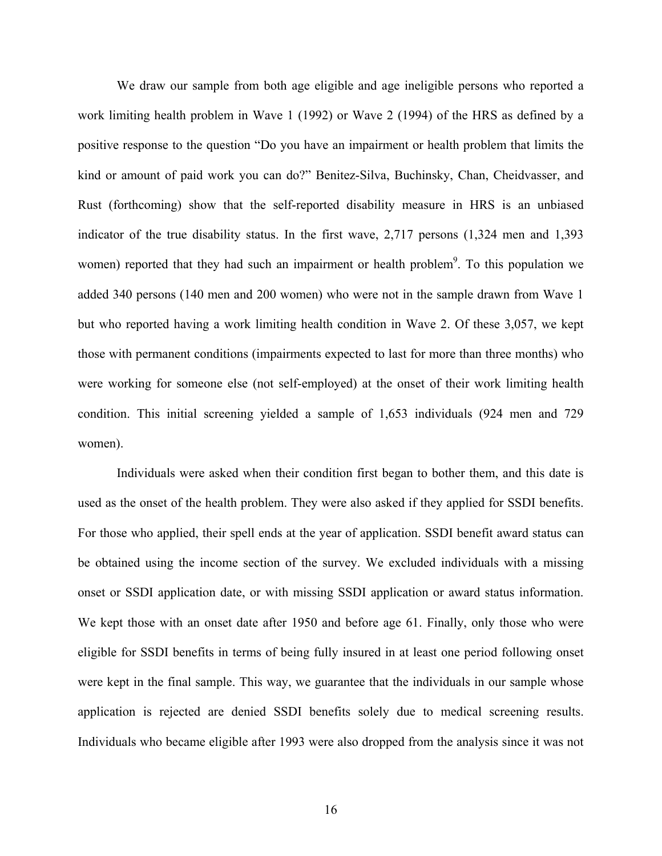We draw our sample from both age eligible and age ineligible persons who reported a work limiting health problem in Wave 1 (1992) or Wave 2 (1994) of the HRS as defined by a positive response to the question "Do you have an impairment or health problem that limits the kind or amount of paid work you can do?" Benitez-Silva, Buchinsky, Chan, Cheidvasser, and Rust (forthcoming) show that the self-reported disability measure in HRS is an unbiased indicator of the true disability status. In the first wave, 2,717 persons (1,324 men and 1,393 women) reported that they had such an impairment or health problem<sup>9</sup>. To this population we added 340 persons (140 men and 200 women) who were not in the sample drawn from Wave 1 but who reported having a work limiting health condition in Wave 2. Of these 3,057, we kept those with permanent conditions (impairments expected to last for more than three months) who were working for someone else (not self-employed) at the onset of their work limiting health condition. This initial screening yielded a sample of 1,653 individuals (924 men and 729 women).

Individuals were asked when their condition first began to bother them, and this date is used as the onset of the health problem. They were also asked if they applied for SSDI benefits. For those who applied, their spell ends at the year of application. SSDI benefit award status can be obtained using the income section of the survey. We excluded individuals with a missing onset or SSDI application date, or with missing SSDI application or award status information. We kept those with an onset date after 1950 and before age 61. Finally, only those who were eligible for SSDI benefits in terms of being fully insured in at least one period following onset were kept in the final sample. This way, we guarantee that the individuals in our sample whose application is rejected are denied SSDI benefits solely due to medical screening results. Individuals who became eligible after 1993 were also dropped from the analysis since it was not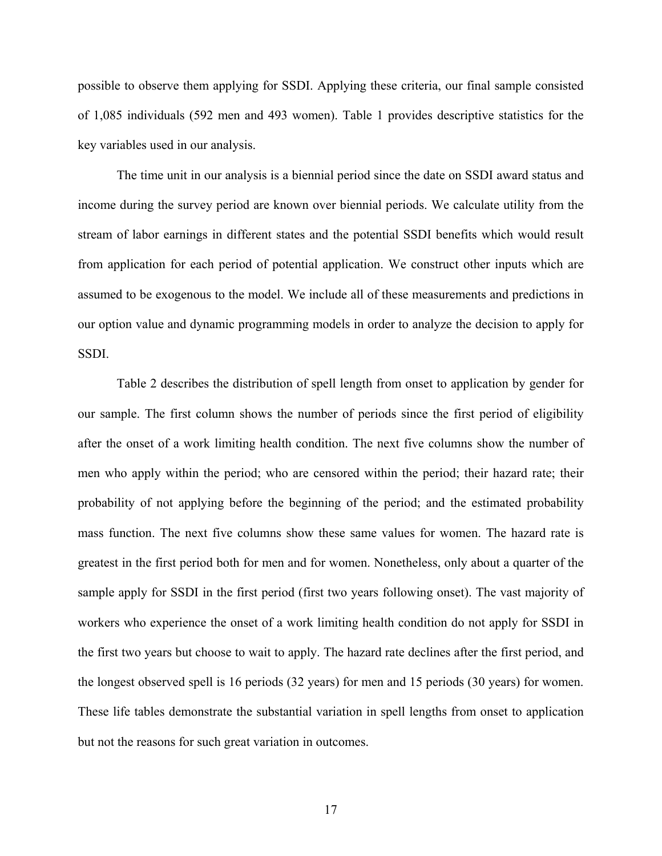possible to observe them applying for SSDI. Applying these criteria, our final sample consisted of 1,085 individuals (592 men and 493 women). Table 1 provides descriptive statistics for the key variables used in our analysis.

The time unit in our analysis is a biennial period since the date on SSDI award status and income during the survey period are known over biennial periods. We calculate utility from the stream of labor earnings in different states and the potential SSDI benefits which would result from application for each period of potential application. We construct other inputs which are assumed to be exogenous to the model. We include all of these measurements and predictions in our option value and dynamic programming models in order to analyze the decision to apply for SSDI.

Table 2 describes the distribution of spell length from onset to application by gender for our sample. The first column shows the number of periods since the first period of eligibility after the onset of a work limiting health condition. The next five columns show the number of men who apply within the period; who are censored within the period; their hazard rate; their probability of not applying before the beginning of the period; and the estimated probability mass function. The next five columns show these same values for women. The hazard rate is greatest in the first period both for men and for women. Nonetheless, only about a quarter of the sample apply for SSDI in the first period (first two years following onset). The vast majority of workers who experience the onset of a work limiting health condition do not apply for SSDI in the first two years but choose to wait to apply. The hazard rate declines after the first period, and the longest observed spell is 16 periods (32 years) for men and 15 periods (30 years) for women. These life tables demonstrate the substantial variation in spell lengths from onset to application but not the reasons for such great variation in outcomes.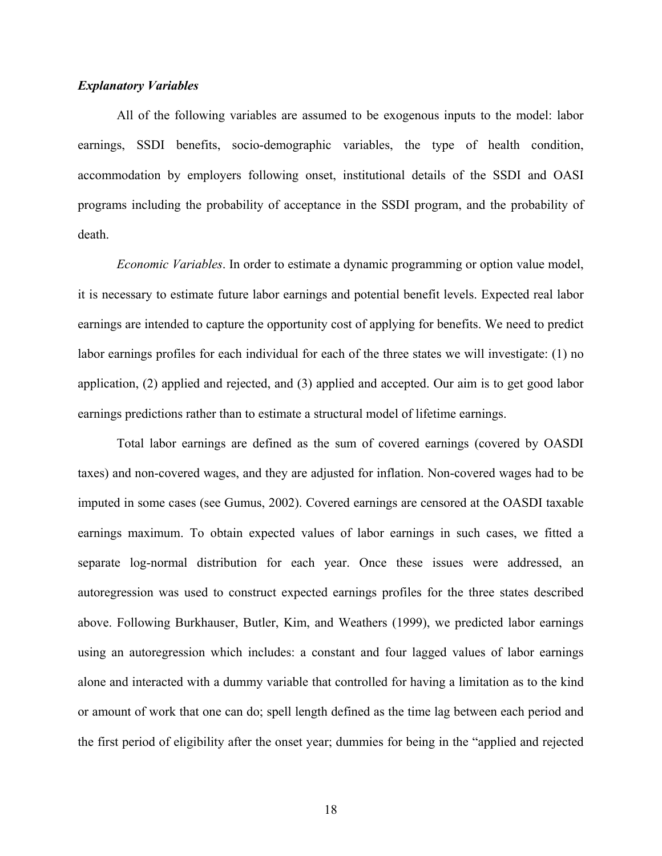#### *Explanatory Variables*

All of the following variables are assumed to be exogenous inputs to the model: labor earnings, SSDI benefits, socio-demographic variables, the type of health condition, accommodation by employers following onset, institutional details of the SSDI and OASI programs including the probability of acceptance in the SSDI program, and the probability of death.

*Economic Variables*. In order to estimate a dynamic programming or option value model, it is necessary to estimate future labor earnings and potential benefit levels. Expected real labor earnings are intended to capture the opportunity cost of applying for benefits. We need to predict labor earnings profiles for each individual for each of the three states we will investigate: (1) no application, (2) applied and rejected, and (3) applied and accepted. Our aim is to get good labor earnings predictions rather than to estimate a structural model of lifetime earnings.

Total labor earnings are defined as the sum of covered earnings (covered by OASDI taxes) and non-covered wages, and they are adjusted for inflation. Non-covered wages had to be imputed in some cases (see Gumus, 2002). Covered earnings are censored at the OASDI taxable earnings maximum. To obtain expected values of labor earnings in such cases, we fitted a separate log-normal distribution for each year. Once these issues were addressed, an autoregression was used to construct expected earnings profiles for the three states described above. Following Burkhauser, Butler, Kim, and Weathers (1999), we predicted labor earnings using an autoregression which includes: a constant and four lagged values of labor earnings alone and interacted with a dummy variable that controlled for having a limitation as to the kind or amount of work that one can do; spell length defined as the time lag between each period and the first period of eligibility after the onset year; dummies for being in the "applied and rejected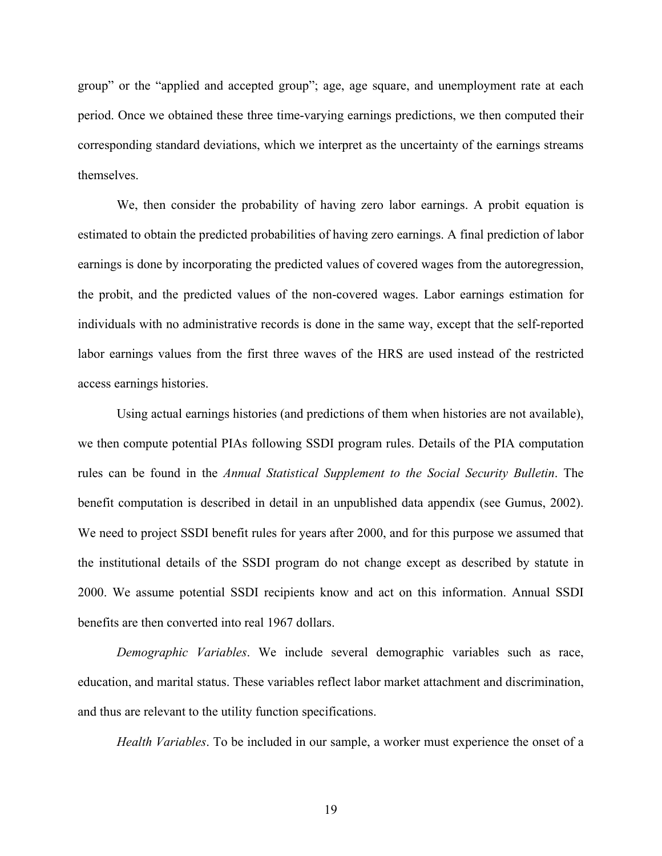group" or the "applied and accepted group"; age, age square, and unemployment rate at each period. Once we obtained these three time-varying earnings predictions, we then computed their corresponding standard deviations, which we interpret as the uncertainty of the earnings streams themselves.

We, then consider the probability of having zero labor earnings. A probit equation is estimated to obtain the predicted probabilities of having zero earnings. A final prediction of labor earnings is done by incorporating the predicted values of covered wages from the autoregression, the probit, and the predicted values of the non-covered wages. Labor earnings estimation for individuals with no administrative records is done in the same way, except that the self-reported labor earnings values from the first three waves of the HRS are used instead of the restricted access earnings histories.

Using actual earnings histories (and predictions of them when histories are not available), we then compute potential PIAs following SSDI program rules. Details of the PIA computation rules can be found in the *Annual Statistical Supplement to the Social Security Bulletin*. The benefit computation is described in detail in an unpublished data appendix (see Gumus, 2002). We need to project SSDI benefit rules for years after 2000, and for this purpose we assumed that the institutional details of the SSDI program do not change except as described by statute in 2000. We assume potential SSDI recipients know and act on this information. Annual SSDI benefits are then converted into real 1967 dollars.

*Demographic Variables*. We include several demographic variables such as race, education, and marital status. These variables reflect labor market attachment and discrimination, and thus are relevant to the utility function specifications.

*Health Variables*. To be included in our sample, a worker must experience the onset of a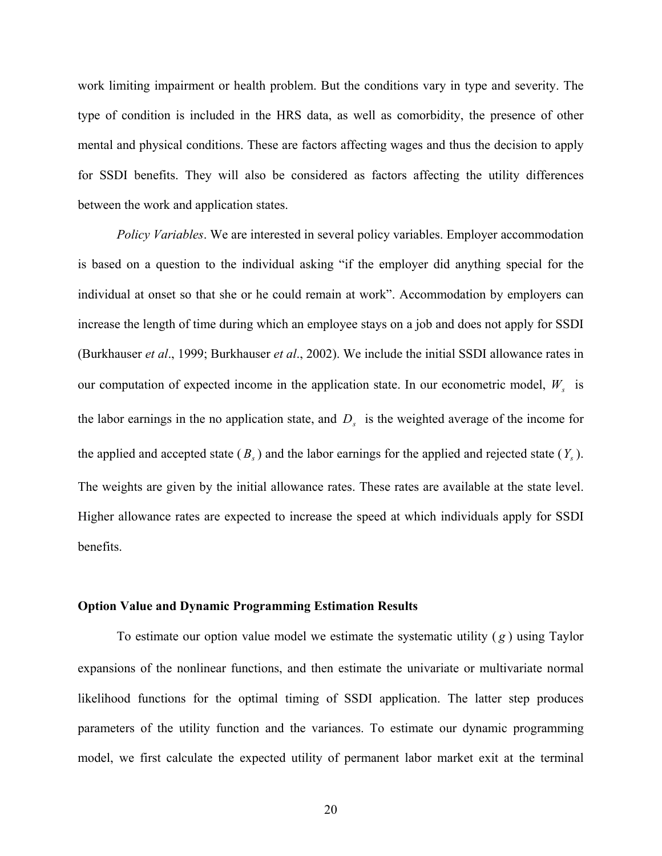work limiting impairment or health problem. But the conditions vary in type and severity. The type of condition is included in the HRS data, as well as comorbidity, the presence of other mental and physical conditions. These are factors affecting wages and thus the decision to apply for SSDI benefits. They will also be considered as factors affecting the utility differences between the work and application states.

*Policy Variables*. We are interested in several policy variables. Employer accommodation is based on a question to the individual asking "if the employer did anything special for the individual at onset so that she or he could remain at work". Accommodation by employers can increase the length of time during which an employee stays on a job and does not apply for SSDI (Burkhauser *et al*., 1999; Burkhauser *et al*., 2002). We include the initial SSDI allowance rates in our computation of expected income in the application state. In our econometric model,  $W<sub>s</sub>$  is the labor earnings in the no application state, and  $D<sub>s</sub>$  is the weighted average of the income for the applied and accepted state  $(B_s)$  and the labor earnings for the applied and rejected state  $(Y_s)$ . The weights are given by the initial allowance rates. These rates are available at the state level. Higher allowance rates are expected to increase the speed at which individuals apply for SSDI benefits.

#### **Option Value and Dynamic Programming Estimation Results**

To estimate our option value model we estimate the systematic utility ( *g* ) using Taylor expansions of the nonlinear functions, and then estimate the univariate or multivariate normal likelihood functions for the optimal timing of SSDI application. The latter step produces parameters of the utility function and the variances. To estimate our dynamic programming model, we first calculate the expected utility of permanent labor market exit at the terminal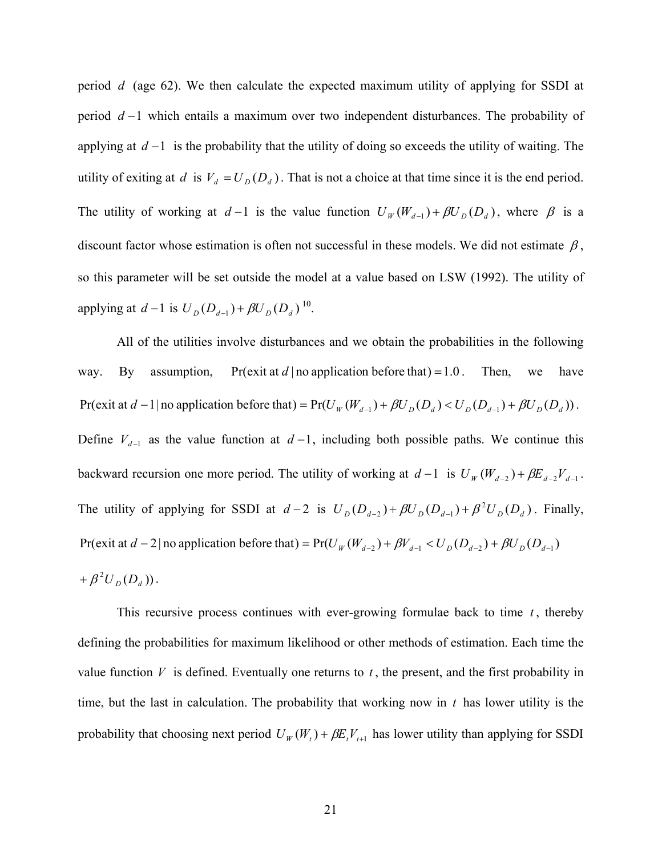period *d* (age 62). We then calculate the expected maximum utility of applying for SSDI at period *d* −1 which entails a maximum over two independent disturbances. The probability of applying at *d* −1 is the probability that the utility of doing so exceeds the utility of waiting. The utility of exiting at *d* is  $V_d = U_D(D_d)$ . That is not a choice at that time since it is the end period. The utility of working at  $d-1$  is the value function  $U_W(W_{d-1}) + \beta U_D(D_d)$ , where  $\beta$  is a discount factor whose estimation is often not successful in these models. We did not estimate  $\beta$ , so this parameter will be set outside the model at a value based on LSW (1992). The utility of applying at  $d-1$  is  $U_D(D_{d-1}) + \beta U_D(D_d)^{10}$ .

All of the utilities involve disturbances and we obtain the probabilities in the following way. By assumption, Pr(exit at *d* | no application before that) = 1.0. Then, we have Pr(exit at  $d-1$  | no application before that) =  $Pr(U_W(W_{d-1}) + \beta U_D(D_d) < U_D(D_{d-1}) + \beta U_D(D_d))$ . Define  $V_{d-1}$  as the value function at  $d-1$ , including both possible paths. We continue this backward recursion one more period. The utility of working at  $d-1$  is  $U_W(W_{d-2}) + \beta E_{d-2} V_{d-1}$ . The utility of applying for SSDI at  $d-2$  is  $U_D(D_{d-2}) + \beta U_D(D_{d-1}) + \beta^2 U_D(D_d)$ . Finally, Pr(exit at  $d - 2$  | no application before that) = Pr( $U_W(W_{d-2}) + \beta V_{d-1} < U_D(D_{d-2}) + \beta U_D(D_{d-1})$  $+ \beta^{2} U_{D}(D_{d})).$ 

This recursive process continues with ever-growing formulae back to time  $t$ , thereby defining the probabilities for maximum likelihood or other methods of estimation. Each time the value function  $V$  is defined. Eventually one returns to  $t$ , the present, and the first probability in time, but the last in calculation. The probability that working now in *t* has lower utility is the probability that choosing next period  $U_W(W_t) + \beta E_t V_{t+1}$  has lower utility than applying for SSDI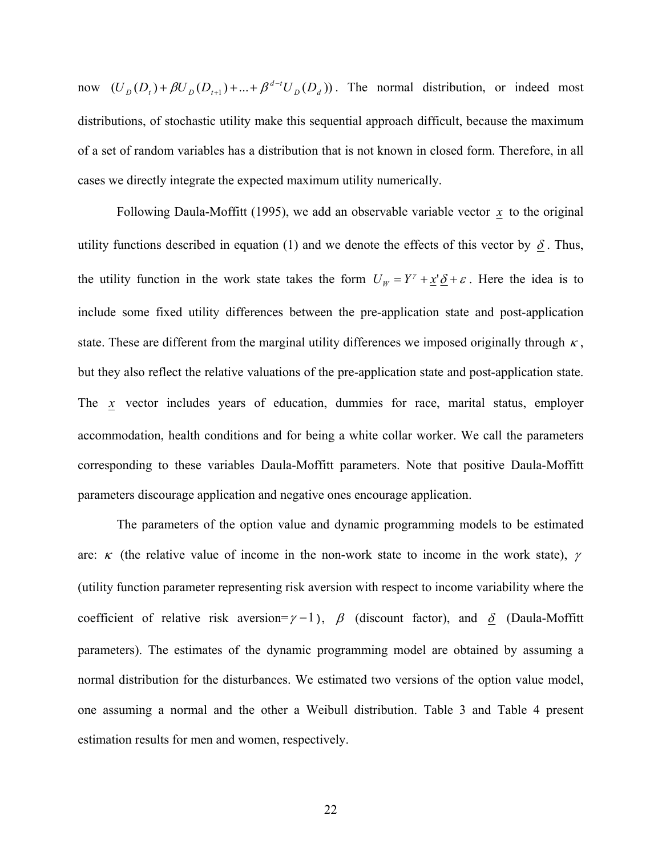now  $(U_D(D_t) + \beta U_D(D_{t+1}) + ... + \beta^{d-t} U_D(D_d))$ . The normal distribution, or indeed most distributions, of stochastic utility make this sequential approach difficult, because the maximum of a set of random variables has a distribution that is not known in closed form. Therefore, in all cases we directly integrate the expected maximum utility numerically.

Following Daula-Moffitt (1995), we add an observable variable vector  $\mathbf{x}$  to the original utility functions described in equation (1) and we denote the effects of this vector by  $\delta$ . Thus, the utility function in the work state takes the form  $U_w = Y^{\gamma} + \underline{x}^{\gamma} \underline{\delta} + \varepsilon$ . Here the idea is to include some fixed utility differences between the pre-application state and post-application state. These are different from the marginal utility differences we imposed originally through  $\kappa$ , but they also reflect the relative valuations of the pre-application state and post-application state. The *x* vector includes years of education, dummies for race, marital status, employer accommodation, health conditions and for being a white collar worker. We call the parameters corresponding to these variables Daula-Moffitt parameters. Note that positive Daula-Moffitt parameters discourage application and negative ones encourage application.

The parameters of the option value and dynamic programming models to be estimated are:  $\kappa$  (the relative value of income in the non-work state to income in the work state),  $\gamma$ (utility function parameter representing risk aversion with respect to income variability where the coefficient of relative risk aversion= $\gamma$  –1),  $\beta$  (discount factor), and  $\delta$  (Daula-Moffitt parameters). The estimates of the dynamic programming model are obtained by assuming a normal distribution for the disturbances. We estimated two versions of the option value model, one assuming a normal and the other a Weibull distribution. Table 3 and Table 4 present estimation results for men and women, respectively.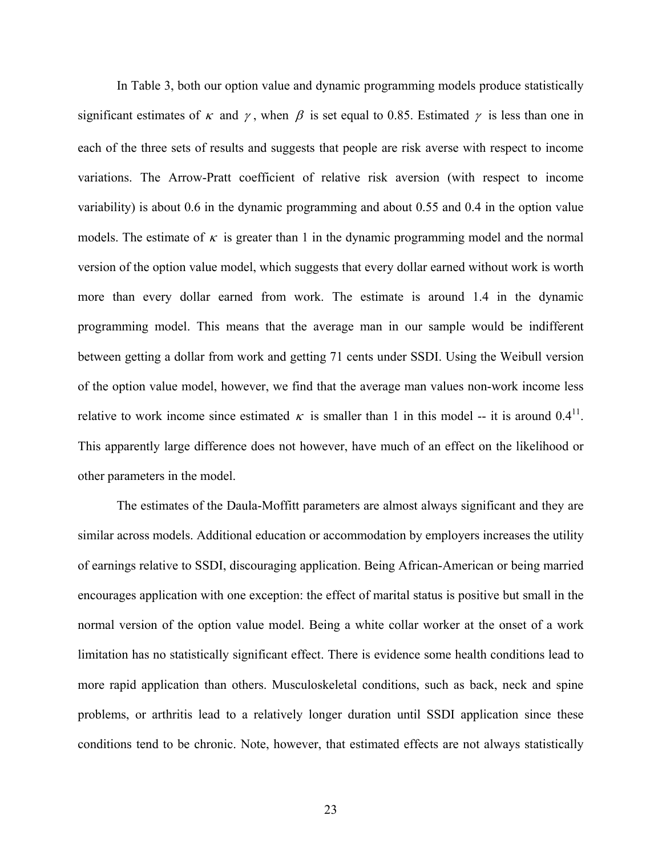In Table 3, both our option value and dynamic programming models produce statistically significant estimates of  $\kappa$  and  $\gamma$ , when  $\beta$  is set equal to 0.85. Estimated  $\gamma$  is less than one in each of the three sets of results and suggests that people are risk averse with respect to income variations. The Arrow-Pratt coefficient of relative risk aversion (with respect to income variability) is about 0.6 in the dynamic programming and about 0.55 and 0.4 in the option value models. The estimate of  $\kappa$  is greater than 1 in the dynamic programming model and the normal version of the option value model, which suggests that every dollar earned without work is worth more than every dollar earned from work. The estimate is around 1.4 in the dynamic programming model. This means that the average man in our sample would be indifferent between getting a dollar from work and getting 71 cents under SSDI. Using the Weibull version of the option value model, however, we find that the average man values non-work income less relative to work income since estimated  $\kappa$  is smaller than 1 in this model -- it is around 0.4<sup>11</sup>. This apparently large difference does not however, have much of an effect on the likelihood or other parameters in the model.

The estimates of the Daula-Moffitt parameters are almost always significant and they are similar across models. Additional education or accommodation by employers increases the utility of earnings relative to SSDI, discouraging application. Being African-American or being married encourages application with one exception: the effect of marital status is positive but small in the normal version of the option value model. Being a white collar worker at the onset of a work limitation has no statistically significant effect. There is evidence some health conditions lead to more rapid application than others. Musculoskeletal conditions, such as back, neck and spine problems, or arthritis lead to a relatively longer duration until SSDI application since these conditions tend to be chronic. Note, however, that estimated effects are not always statistically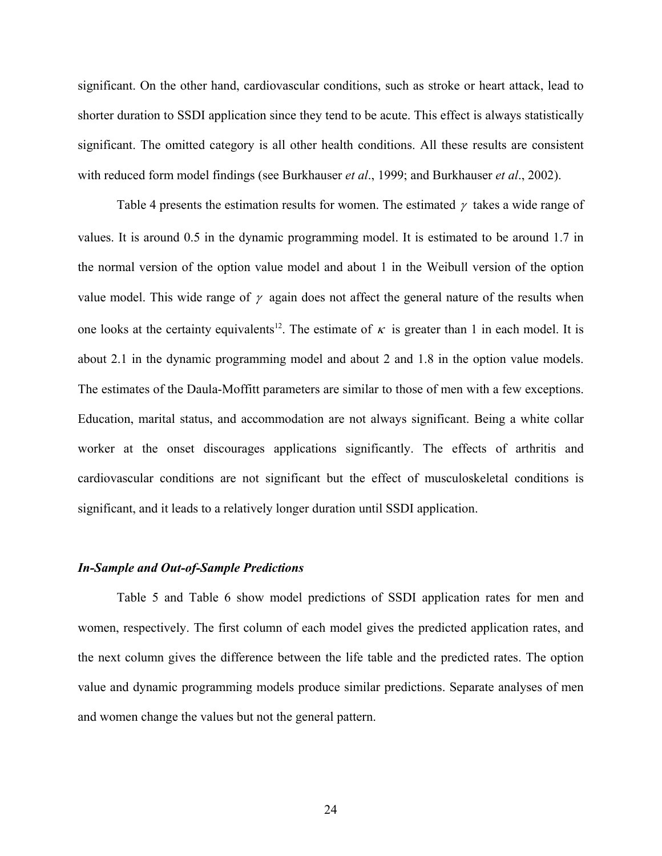significant. On the other hand, cardiovascular conditions, such as stroke or heart attack, lead to shorter duration to SSDI application since they tend to be acute. This effect is always statistically significant. The omitted category is all other health conditions. All these results are consistent with reduced form model findings (see Burkhauser *et al*., 1999; and Burkhauser *et al*., 2002).

Table 4 presents the estimation results for women. The estimated  $\gamma$  takes a wide range of values. It is around 0.5 in the dynamic programming model. It is estimated to be around 1.7 in the normal version of the option value model and about 1 in the Weibull version of the option value model. This wide range of  $\gamma$  again does not affect the general nature of the results when one looks at the certainty equivalents<sup>12</sup>. The estimate of  $\kappa$  is greater than 1 in each model. It is about 2.1 in the dynamic programming model and about 2 and 1.8 in the option value models. The estimates of the Daula-Moffitt parameters are similar to those of men with a few exceptions. Education, marital status, and accommodation are not always significant. Being a white collar worker at the onset discourages applications significantly. The effects of arthritis and cardiovascular conditions are not significant but the effect of musculoskeletal conditions is significant, and it leads to a relatively longer duration until SSDI application.

#### *In-Sample and Out-of-Sample Predictions*

Table 5 and Table 6 show model predictions of SSDI application rates for men and women, respectively. The first column of each model gives the predicted application rates, and the next column gives the difference between the life table and the predicted rates. The option value and dynamic programming models produce similar predictions. Separate analyses of men and women change the values but not the general pattern.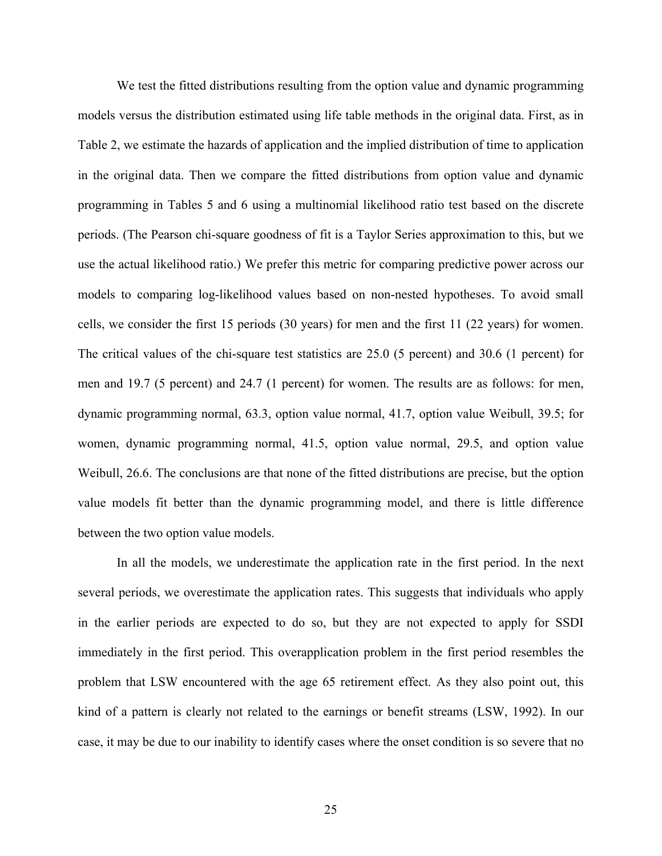We test the fitted distributions resulting from the option value and dynamic programming models versus the distribution estimated using life table methods in the original data. First, as in Table 2, we estimate the hazards of application and the implied distribution of time to application in the original data. Then we compare the fitted distributions from option value and dynamic programming in Tables 5 and 6 using a multinomial likelihood ratio test based on the discrete periods. (The Pearson chi-square goodness of fit is a Taylor Series approximation to this, but we use the actual likelihood ratio.) We prefer this metric for comparing predictive power across our models to comparing log-likelihood values based on non-nested hypotheses. To avoid small cells, we consider the first 15 periods (30 years) for men and the first 11 (22 years) for women. The critical values of the chi-square test statistics are 25.0 (5 percent) and 30.6 (1 percent) for men and 19.7 (5 percent) and 24.7 (1 percent) for women. The results are as follows: for men, dynamic programming normal, 63.3, option value normal, 41.7, option value Weibull, 39.5; for women, dynamic programming normal, 41.5, option value normal, 29.5, and option value Weibull, 26.6. The conclusions are that none of the fitted distributions are precise, but the option value models fit better than the dynamic programming model, and there is little difference between the two option value models.

In all the models, we underestimate the application rate in the first period. In the next several periods, we overestimate the application rates. This suggests that individuals who apply in the earlier periods are expected to do so, but they are not expected to apply for SSDI immediately in the first period. This overapplication problem in the first period resembles the problem that LSW encountered with the age 65 retirement effect. As they also point out, this kind of a pattern is clearly not related to the earnings or benefit streams (LSW, 1992). In our case, it may be due to our inability to identify cases where the onset condition is so severe that no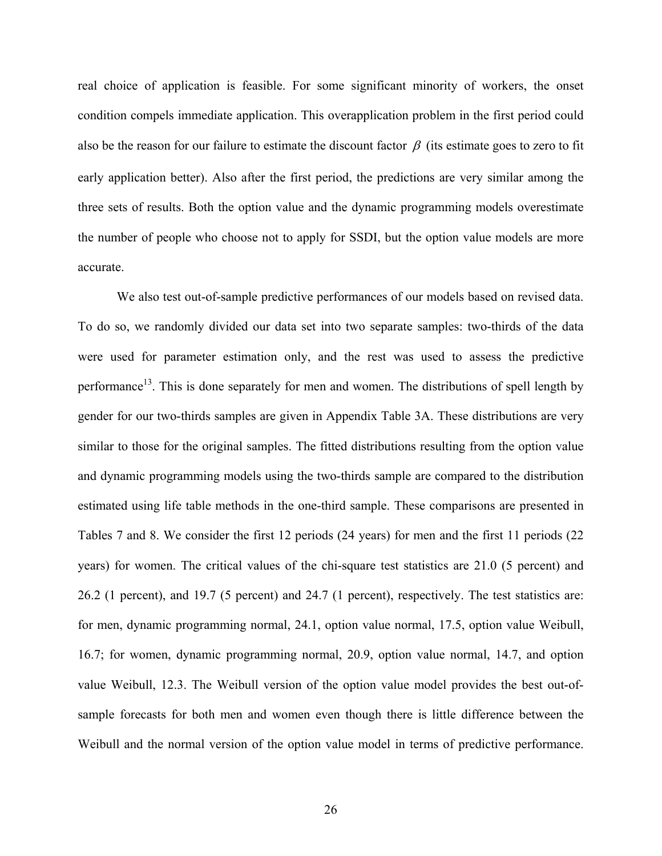real choice of application is feasible. For some significant minority of workers, the onset condition compels immediate application. This overapplication problem in the first period could also be the reason for our failure to estimate the discount factor  $\beta$  (its estimate goes to zero to fit early application better). Also after the first period, the predictions are very similar among the three sets of results. Both the option value and the dynamic programming models overestimate the number of people who choose not to apply for SSDI, but the option value models are more accurate.

We also test out-of-sample predictive performances of our models based on revised data. To do so, we randomly divided our data set into two separate samples: two-thirds of the data were used for parameter estimation only, and the rest was used to assess the predictive performance<sup>13</sup>. This is done separately for men and women. The distributions of spell length by gender for our two-thirds samples are given in Appendix Table 3A. These distributions are very similar to those for the original samples. The fitted distributions resulting from the option value and dynamic programming models using the two-thirds sample are compared to the distribution estimated using life table methods in the one-third sample. These comparisons are presented in Tables 7 and 8. We consider the first 12 periods (24 years) for men and the first 11 periods (22 years) for women. The critical values of the chi-square test statistics are 21.0 (5 percent) and 26.2 (1 percent), and 19.7 (5 percent) and 24.7 (1 percent), respectively. The test statistics are: for men, dynamic programming normal, 24.1, option value normal, 17.5, option value Weibull, 16.7; for women, dynamic programming normal, 20.9, option value normal, 14.7, and option value Weibull, 12.3. The Weibull version of the option value model provides the best out-ofsample forecasts for both men and women even though there is little difference between the Weibull and the normal version of the option value model in terms of predictive performance.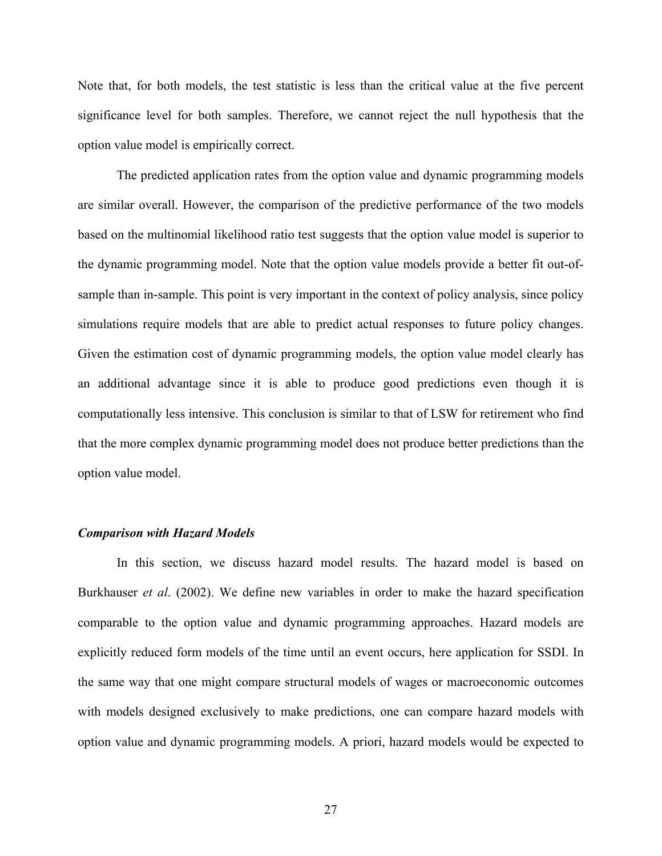Note that, for both models, the test statistic is less than the critical value at the five percent significance level for both samples. Therefore, we cannot reject the null hypothesis that the option value model is empirically correct.

The predicted application rates from the option value and dynamic programming models are similar overall. However, the comparison of the predictive performance of the two models based on the multinomial likelihood ratio test suggests that the option value model is superior to the dynamic programming model. Note that the option value models provide a better fit out-ofsample than in-sample. This point is very important in the context of policy analysis, since policy simulations require models that are able to predict actual responses to future policy changes. Given the estimation cost of dynamic programming models, the option value model clearly has an additional advantage since it is able to produce good predictions even though it is computationally less intensive. This conclusion is similar to that of LSW for retirement who find that the more complex dynamic programming model does not produce better predictions than the option value model.

#### *Comparison with Hazard Models*

In this section, we discuss hazard model results. The hazard model is based on Burkhauser *et al*. (2002). We define new variables in order to make the hazard specification comparable to the option value and dynamic programming approaches. Hazard models are explicitly reduced form models of the time until an event occurs, here application for SSDI. In the same way that one might compare structural models of wages or macroeconomic outcomes with models designed exclusively to make predictions, one can compare hazard models with option value and dynamic programming models. A priori, hazard models would be expected to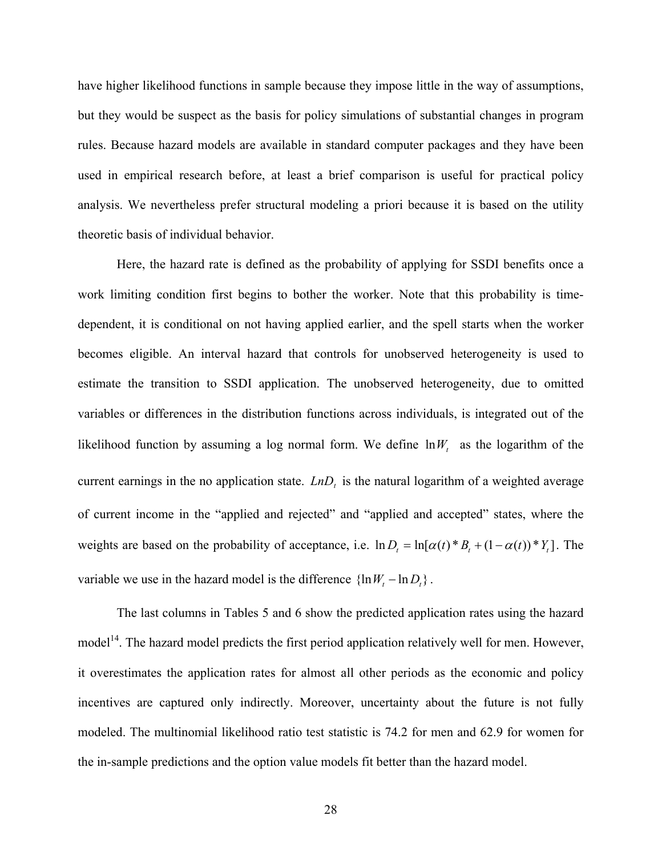have higher likelihood functions in sample because they impose little in the way of assumptions, but they would be suspect as the basis for policy simulations of substantial changes in program rules. Because hazard models are available in standard computer packages and they have been used in empirical research before, at least a brief comparison is useful for practical policy analysis. We nevertheless prefer structural modeling a priori because it is based on the utility theoretic basis of individual behavior.

Here, the hazard rate is defined as the probability of applying for SSDI benefits once a work limiting condition first begins to bother the worker. Note that this probability is timedependent, it is conditional on not having applied earlier, and the spell starts when the worker becomes eligible. An interval hazard that controls for unobserved heterogeneity is used to estimate the transition to SSDI application. The unobserved heterogeneity, due to omitted variables or differences in the distribution functions across individuals, is integrated out of the likelihood function by assuming a log normal form. We define  $\ln W_t$  as the logarithm of the current earnings in the no application state.  $LnD<sub>t</sub>$  is the natural logarithm of a weighted average of current income in the "applied and rejected" and "applied and accepted" states, where the weights are based on the probability of acceptance, i.e.  $\ln D_t = \ln[\alpha(t) * B_t + (1 - \alpha(t)) * Y_t]$ . The variable we use in the hazard model is the difference  $\{\ln W_t - \ln D_t\}$ .

The last columns in Tables 5 and 6 show the predicted application rates using the hazard model<sup>14</sup>. The hazard model predicts the first period application relatively well for men. However, it overestimates the application rates for almost all other periods as the economic and policy incentives are captured only indirectly. Moreover, uncertainty about the future is not fully modeled. The multinomial likelihood ratio test statistic is 74.2 for men and 62.9 for women for the in-sample predictions and the option value models fit better than the hazard model.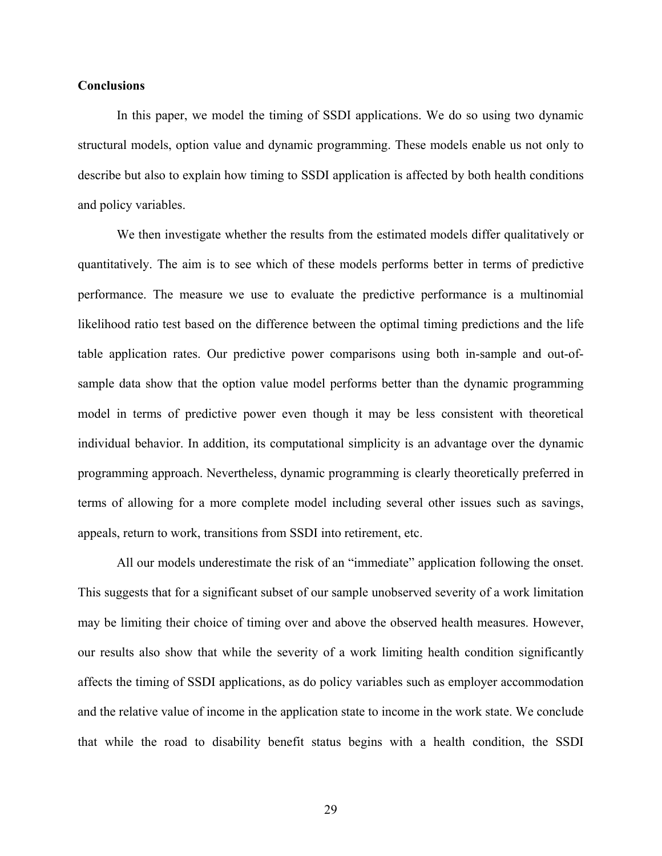#### **Conclusions**

In this paper, we model the timing of SSDI applications. We do so using two dynamic structural models, option value and dynamic programming. These models enable us not only to describe but also to explain how timing to SSDI application is affected by both health conditions and policy variables.

We then investigate whether the results from the estimated models differ qualitatively or quantitatively. The aim is to see which of these models performs better in terms of predictive performance. The measure we use to evaluate the predictive performance is a multinomial likelihood ratio test based on the difference between the optimal timing predictions and the life table application rates. Our predictive power comparisons using both in-sample and out-ofsample data show that the option value model performs better than the dynamic programming model in terms of predictive power even though it may be less consistent with theoretical individual behavior. In addition, its computational simplicity is an advantage over the dynamic programming approach. Nevertheless, dynamic programming is clearly theoretically preferred in terms of allowing for a more complete model including several other issues such as savings, appeals, return to work, transitions from SSDI into retirement, etc.

All our models underestimate the risk of an "immediate" application following the onset. This suggests that for a significant subset of our sample unobserved severity of a work limitation may be limiting their choice of timing over and above the observed health measures. However, our results also show that while the severity of a work limiting health condition significantly affects the timing of SSDI applications, as do policy variables such as employer accommodation and the relative value of income in the application state to income in the work state. We conclude that while the road to disability benefit status begins with a health condition, the SSDI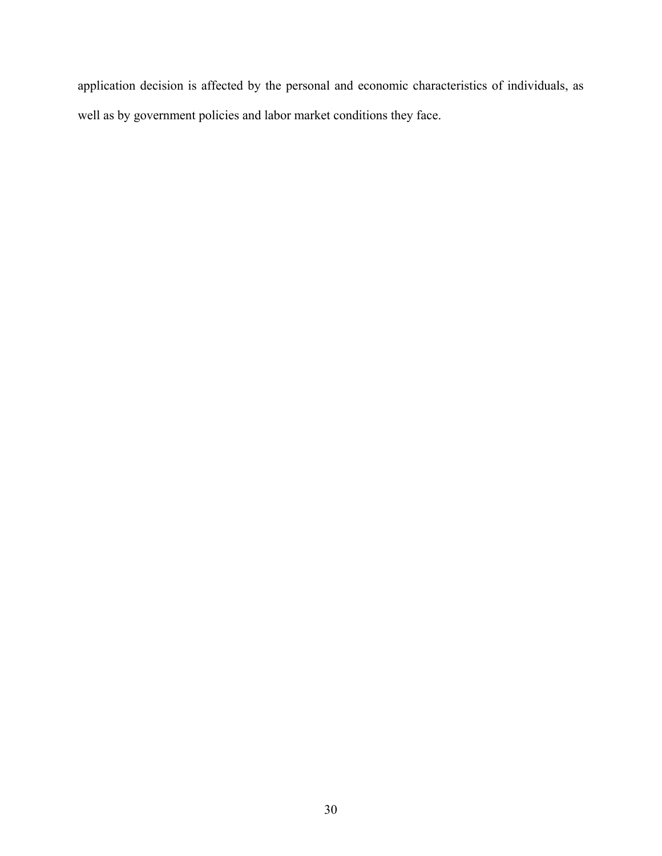application decision is affected by the personal and economic characteristics of individuals, as well as by government policies and labor market conditions they face.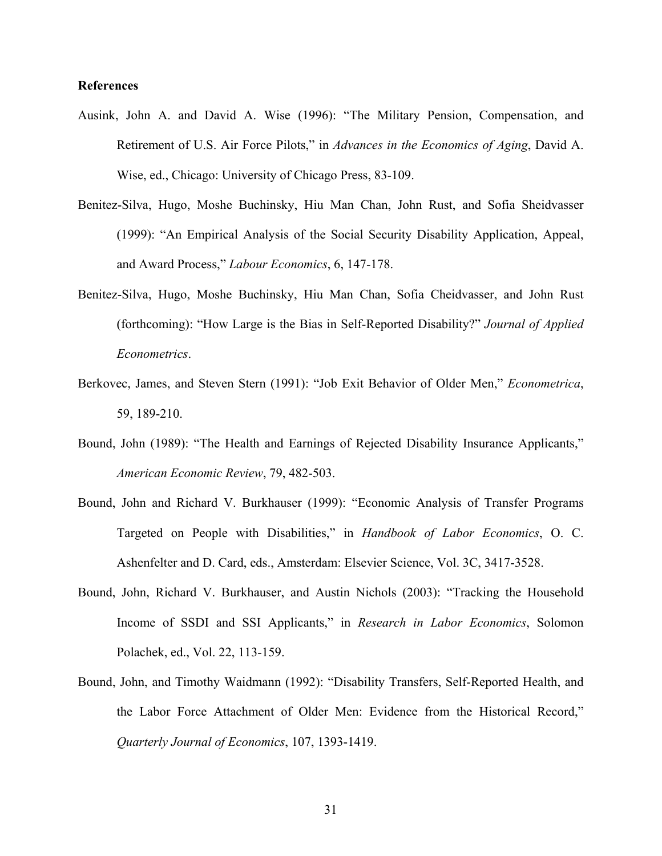#### **References**

- Ausink, John A. and David A. Wise (1996): "The Military Pension, Compensation, and Retirement of U.S. Air Force Pilots," in *Advances in the Economics of Aging*, David A. Wise, ed., Chicago: University of Chicago Press, 83-109.
- Benitez-Silva, Hugo, Moshe Buchinsky, Hiu Man Chan, John Rust, and Sofia Sheidvasser (1999): "An Empirical Analysis of the Social Security Disability Application, Appeal, and Award Process," *Labour Economics*, 6, 147-178.
- Benitez-Silva, Hugo, Moshe Buchinsky, Hiu Man Chan, Sofia Cheidvasser, and John Rust (forthcoming): "How Large is the Bias in Self-Reported Disability?" *Journal of Applied Econometrics*.
- Berkovec, James, and Steven Stern (1991): "Job Exit Behavior of Older Men," *Econometrica*, 59, 189-210.
- Bound, John (1989): "The Health and Earnings of Rejected Disability Insurance Applicants," *American Economic Review*, 79, 482-503.
- Bound, John and Richard V. Burkhauser (1999): "Economic Analysis of Transfer Programs Targeted on People with Disabilities," in *Handbook of Labor Economics*, O. C. Ashenfelter and D. Card, eds., Amsterdam: Elsevier Science, Vol. 3C, 3417-3528.
- Bound, John, Richard V. Burkhauser, and Austin Nichols (2003): "Tracking the Household Income of SSDI and SSI Applicants," in *Research in Labor Economics*, Solomon Polachek, ed., Vol. 22, 113-159.
- Bound, John, and Timothy Waidmann (1992): "Disability Transfers, Self-Reported Health, and the Labor Force Attachment of Older Men: Evidence from the Historical Record," *Quarterly Journal of Economics*, 107, 1393-1419.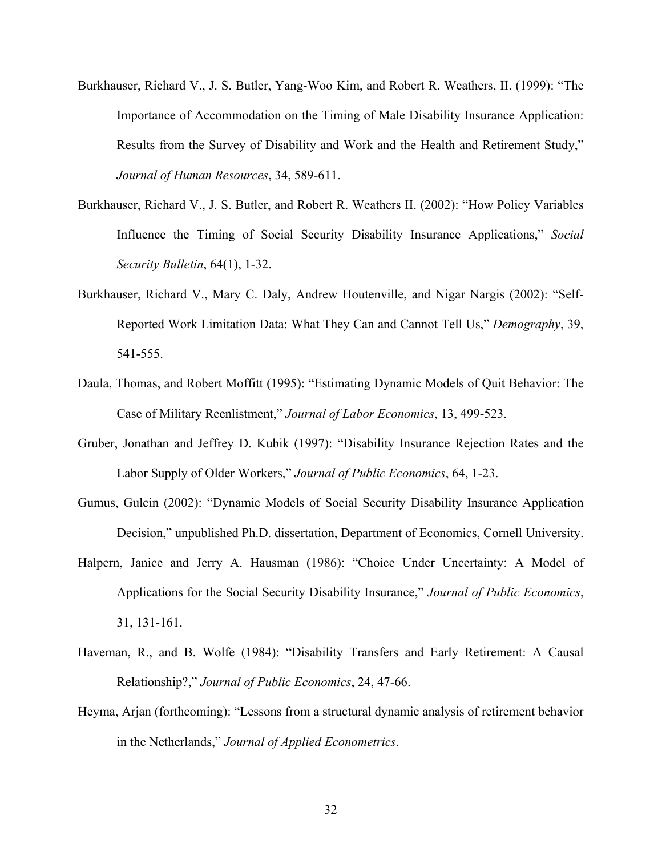- Burkhauser, Richard V., J. S. Butler, Yang-Woo Kim, and Robert R. Weathers, II. (1999): "The Importance of Accommodation on the Timing of Male Disability Insurance Application: Results from the Survey of Disability and Work and the Health and Retirement Study," *Journal of Human Resources*, 34, 589-611.
- Burkhauser, Richard V., J. S. Butler, and Robert R. Weathers II. (2002): "How Policy Variables Influence the Timing of Social Security Disability Insurance Applications," *Social Security Bulletin*, 64(1), 1-32.
- Burkhauser, Richard V., Mary C. Daly, Andrew Houtenville, and Nigar Nargis (2002): "Self-Reported Work Limitation Data: What They Can and Cannot Tell Us," *Demography*, 39, 541-555.
- Daula, Thomas, and Robert Moffitt (1995): "Estimating Dynamic Models of Quit Behavior: The Case of Military Reenlistment," *Journal of Labor Economics*, 13, 499-523.
- Gruber, Jonathan and Jeffrey D. Kubik (1997): "Disability Insurance Rejection Rates and the Labor Supply of Older Workers," *Journal of Public Economics*, 64, 1-23.
- Gumus, Gulcin (2002): "Dynamic Models of Social Security Disability Insurance Application Decision," unpublished Ph.D. dissertation, Department of Economics, Cornell University.
- Halpern, Janice and Jerry A. Hausman (1986): "Choice Under Uncertainty: A Model of Applications for the Social Security Disability Insurance," *Journal of Public Economics*, 31, 131-161.
- Haveman, R., and B. Wolfe (1984): "Disability Transfers and Early Retirement: A Causal Relationship?," *Journal of Public Economics*, 24, 47-66.
- Heyma, Arjan (forthcoming): "Lessons from a structural dynamic analysis of retirement behavior in the Netherlands," *Journal of Applied Econometrics*.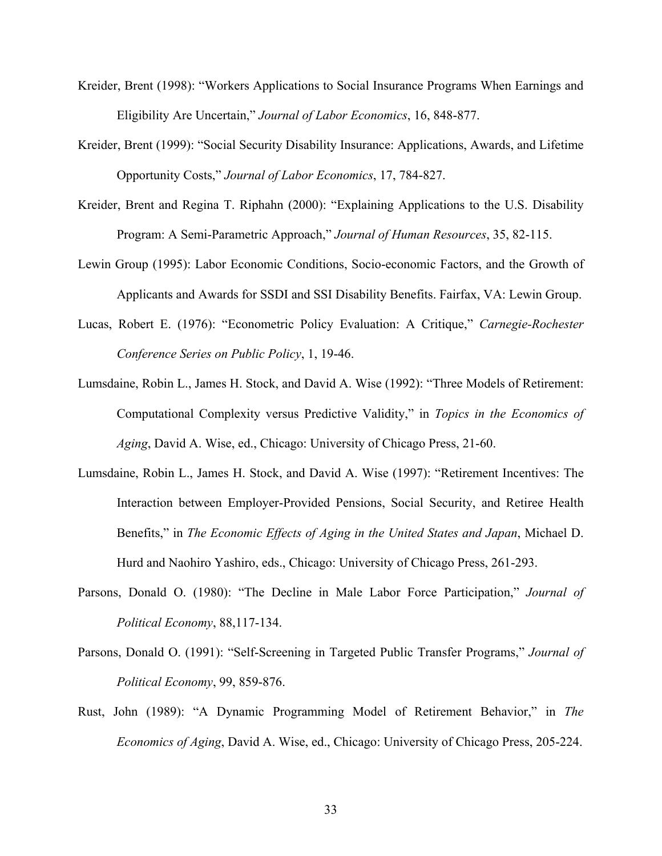- Kreider, Brent (1998): "Workers Applications to Social Insurance Programs When Earnings and Eligibility Are Uncertain," *Journal of Labor Economics*, 16, 848-877.
- Kreider, Brent (1999): "Social Security Disability Insurance: Applications, Awards, and Lifetime Opportunity Costs," *Journal of Labor Economics*, 17, 784-827.
- Kreider, Brent and Regina T. Riphahn (2000): "Explaining Applications to the U.S. Disability Program: A Semi-Parametric Approach," *Journal of Human Resources*, 35, 82-115.
- Lewin Group (1995): Labor Economic Conditions, Socio-economic Factors, and the Growth of Applicants and Awards for SSDI and SSI Disability Benefits. Fairfax, VA: Lewin Group.
- Lucas, Robert E. (1976): "Econometric Policy Evaluation: A Critique," *Carnegie-Rochester Conference Series on Public Policy*, 1, 19-46.
- Lumsdaine, Robin L., James H. Stock, and David A. Wise (1992): "Three Models of Retirement: Computational Complexity versus Predictive Validity," in *Topics in the Economics of Aging*, David A. Wise, ed., Chicago: University of Chicago Press, 21-60.
- Lumsdaine, Robin L., James H. Stock, and David A. Wise (1997): "Retirement Incentives: The Interaction between Employer-Provided Pensions, Social Security, and Retiree Health Benefits," in *The Economic Effects of Aging in the United States and Japan*, Michael D. Hurd and Naohiro Yashiro, eds., Chicago: University of Chicago Press, 261-293.
- Parsons, Donald O. (1980): "The Decline in Male Labor Force Participation," *Journal of Political Economy*, 88,117-134.
- Parsons, Donald O. (1991): "Self-Screening in Targeted Public Transfer Programs," *Journal of Political Economy*, 99, 859-876.
- Rust, John (1989): "A Dynamic Programming Model of Retirement Behavior," in *The Economics of Aging*, David A. Wise, ed., Chicago: University of Chicago Press, 205-224.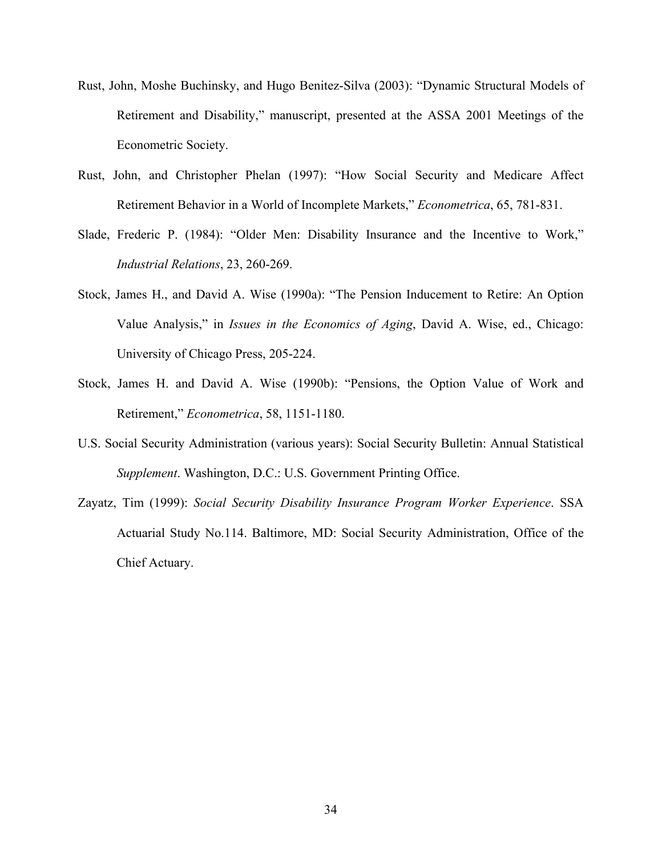- Rust, John, Moshe Buchinsky, and Hugo Benitez-Silva (2003): "Dynamic Structural Models of Retirement and Disability," manuscript, presented at the ASSA 2001 Meetings of the Econometric Society.
- Rust, John, and Christopher Phelan (1997): "How Social Security and Medicare Affect Retirement Behavior in a World of Incomplete Markets," *Econometrica*, 65, 781-831.
- Slade, Frederic P. (1984): "Older Men: Disability Insurance and the Incentive to Work," *Industrial Relations*, 23, 260-269.
- Stock, James H., and David A. Wise (1990a): "The Pension Inducement to Retire: An Option Value Analysis," in *Issues in the Economics of Aging*, David A. Wise, ed., Chicago: University of Chicago Press, 205-224.
- Stock, James H. and David A. Wise (1990b): "Pensions, the Option Value of Work and Retirement," *Econometrica*, 58, 1151-1180.
- U.S. Social Security Administration (various years): Social Security Bulletin: Annual Statistical *Supplement*. Washington, D.C.: U.S. Government Printing Office.
- Zayatz, Tim (1999): *Social Security Disability Insurance Program Worker Experience*. SSA Actuarial Study No.114. Baltimore, MD: Social Security Administration, Office of the Chief Actuary.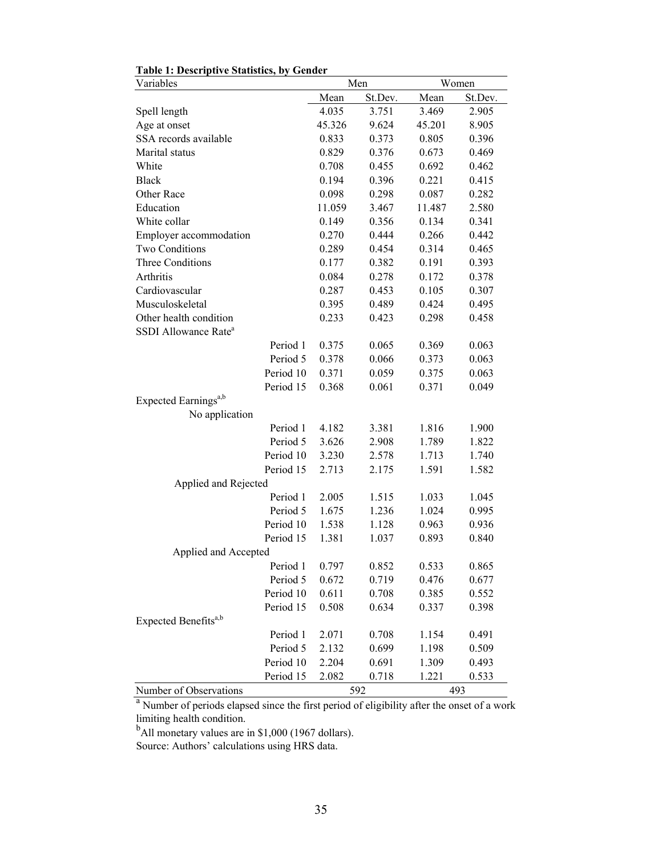| Variables                                                                                      |        | Men     |        | Women   |
|------------------------------------------------------------------------------------------------|--------|---------|--------|---------|
|                                                                                                | Mean   | St.Dev. | Mean   | St.Dev. |
| Spell length                                                                                   | 4.035  | 3.751   | 3.469  | 2.905   |
| Age at onset                                                                                   | 45.326 | 9.624   | 45.201 | 8.905   |
| SSA records available                                                                          | 0.833  | 0.373   | 0.805  | 0.396   |
| Marital status                                                                                 | 0.829  | 0.376   | 0.673  | 0.469   |
| White                                                                                          | 0.708  | 0.455   | 0.692  | 0.462   |
| <b>Black</b>                                                                                   | 0.194  | 0.396   | 0.221  | 0.415   |
| Other Race                                                                                     | 0.098  | 0.298   | 0.087  | 0.282   |
| Education                                                                                      | 11.059 | 3.467   | 11.487 | 2.580   |
| White collar                                                                                   | 0.149  | 0.356   | 0.134  | 0.341   |
| Employer accommodation                                                                         | 0.270  | 0.444   | 0.266  | 0.442   |
| Two Conditions                                                                                 | 0.289  | 0.454   | 0.314  | 0.465   |
| <b>Three Conditions</b>                                                                        | 0.177  | 0.382   | 0.191  | 0.393   |
| Arthritis                                                                                      | 0.084  | 0.278   | 0.172  | 0.378   |
| Cardiovascular                                                                                 | 0.287  | 0.453   | 0.105  | 0.307   |
| Musculoskeletal                                                                                | 0.395  | 0.489   | 0.424  | 0.495   |
| Other health condition                                                                         | 0.233  | 0.423   | 0.298  | 0.458   |
| SSDI Allowance Rate <sup>a</sup>                                                               |        |         |        |         |
| Period 1                                                                                       | 0.375  | 0.065   | 0.369  | 0.063   |
| Period 5                                                                                       | 0.378  | 0.066   | 0.373  | 0.063   |
| Period 10                                                                                      | 0.371  | 0.059   | 0.375  | 0.063   |
| Period 15                                                                                      | 0.368  | 0.061   | 0.371  | 0.049   |
| Expected Earnings <sup>a,b</sup>                                                               |        |         |        |         |
| No application                                                                                 |        |         |        |         |
| Period 1                                                                                       | 4.182  | 3.381   | 1.816  | 1.900   |
| Period 5                                                                                       | 3.626  | 2.908   | 1.789  | 1.822   |
| Period 10                                                                                      | 3.230  | 2.578   | 1.713  | 1.740   |
| Period 15                                                                                      | 2.713  | 2.175   | 1.591  | 1.582   |
| Applied and Rejected                                                                           |        |         |        |         |
| Period 1                                                                                       | 2.005  | 1.515   | 1.033  | 1.045   |
| Period 5                                                                                       | 1.675  | 1.236   | 1.024  | 0.995   |
| Period 10                                                                                      | 1.538  | 1.128   | 0.963  | 0.936   |
| Period 15                                                                                      | 1.381  | 1.037   | 0.893  | 0.840   |
| Applied and Accepted                                                                           |        |         |        |         |
| Period 1 0.797                                                                                 |        | 0.852   | 0.533  | 0.865   |
| Period 5                                                                                       | 0.672  | 0.719   | 0.476  | 0.677   |
| Period 10                                                                                      | 0.611  | 0.708   | 0.385  | 0.552   |
| Period 15                                                                                      | 0.508  | 0.634   | 0.337  | 0.398   |
| Expected Benefits <sup>a,b</sup>                                                               |        |         |        |         |
| Period 1                                                                                       | 2.071  | 0.708   | 1.154  | 0.491   |
| Period 5                                                                                       | 2.132  | 0.699   | 1.198  | 0.509   |
| Period 10                                                                                      | 2.204  | 0.691   | 1.309  | 0.493   |
| Period 15                                                                                      | 2.082  | 0.718   | 1.221  | 0.533   |
| Number of Observations                                                                         |        | 592     |        | 493     |
| a<br>Number of periods elapsed since the first period of eligibility after the onset of a work |        |         |        |         |

### **Table 1: Descriptive Statistics, by Gender**

limiting health condition.<br><sup>b</sup>All monetary values are in \$1,000 (1967 dollars).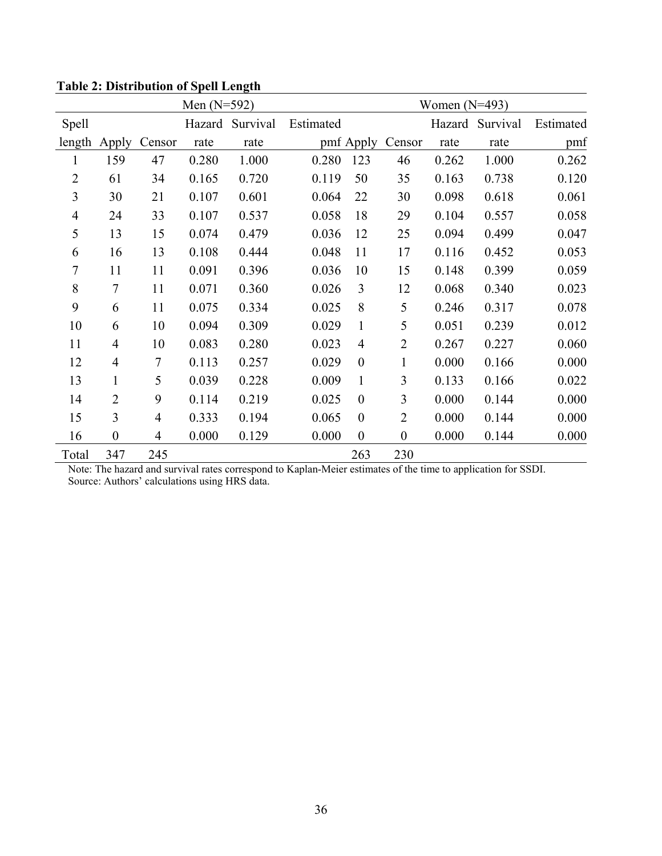| Men $(N=592)$  |                  |                |        |          |           |                  | Women $(N=493)$  |        |          |           |
|----------------|------------------|----------------|--------|----------|-----------|------------------|------------------|--------|----------|-----------|
| <b>Spell</b>   |                  |                | Hazard | Survival | Estimated |                  |                  | Hazard | Survival | Estimated |
| length         | Apply            | Censor         | rate   | rate     |           | pmf Apply        | Censor           | rate   | rate     | pmf       |
| $\mathbf{1}$   | 159              | 47             | 0.280  | 1.000    | 0.280     | 123              | 46               | 0.262  | 1.000    | 0.262     |
| $\overline{2}$ | 61               | 34             | 0.165  | 0.720    | 0.119     | 50               | 35               | 0.163  | 0.738    | 0.120     |
| 3              | 30               | 21             | 0.107  | 0.601    | 0.064     | 22               | 30               | 0.098  | 0.618    | 0.061     |
| $\overline{4}$ | 24               | 33             | 0.107  | 0.537    | 0.058     | 18               | 29               | 0.104  | 0.557    | 0.058     |
| 5              | 13               | 15             | 0.074  | 0.479    | 0.036     | 12               | 25               | 0.094  | 0.499    | 0.047     |
| 6              | 16               | 13             | 0.108  | 0.444    | 0.048     | 11               | 17               | 0.116  | 0.452    | 0.053     |
| 7              | 11               | 11             | 0.091  | 0.396    | 0.036     | 10               | 15               | 0.148  | 0.399    | 0.059     |
| 8              | $\tau$           | 11             | 0.071  | 0.360    | 0.026     | 3                | 12               | 0.068  | 0.340    | 0.023     |
| 9              | 6                | 11             | 0.075  | 0.334    | 0.025     | 8                | 5                | 0.246  | 0.317    | 0.078     |
| 10             | 6                | 10             | 0.094  | 0.309    | 0.029     | $\mathbf{1}$     | 5                | 0.051  | 0.239    | 0.012     |
| 11             | $\overline{4}$   | 10             | 0.083  | 0.280    | 0.023     | $\overline{4}$   | $\overline{2}$   | 0.267  | 0.227    | 0.060     |
| 12             | $\overline{4}$   | $\overline{7}$ | 0.113  | 0.257    | 0.029     | $\boldsymbol{0}$ | 1                | 0.000  | 0.166    | 0.000     |
| 13             | $\mathbf{1}$     | 5              | 0.039  | 0.228    | 0.009     | $\mathbf{1}$     | 3                | 0.133  | 0.166    | 0.022     |
| 14             | $\overline{2}$   | 9              | 0.114  | 0.219    | 0.025     | $\boldsymbol{0}$ | 3                | 0.000  | 0.144    | 0.000     |
| 15             | 3                | $\overline{4}$ | 0.333  | 0.194    | 0.065     | $\boldsymbol{0}$ | $\overline{2}$   | 0.000  | 0.144    | 0.000     |
| 16             | $\boldsymbol{0}$ | $\overline{4}$ | 0.000  | 0.129    | 0.000     | $\boldsymbol{0}$ | $\boldsymbol{0}$ | 0.000  | 0.144    | 0.000     |
| Total          | 347              | 245            |        |          |           | 263              | 230              |        |          |           |

**Table 2: Distribution of Spell Length**

Note: The hazard and survival rates correspond to Kaplan-Meier estimates of the time to application for SSDI. Source: Authors' calculations using HRS data.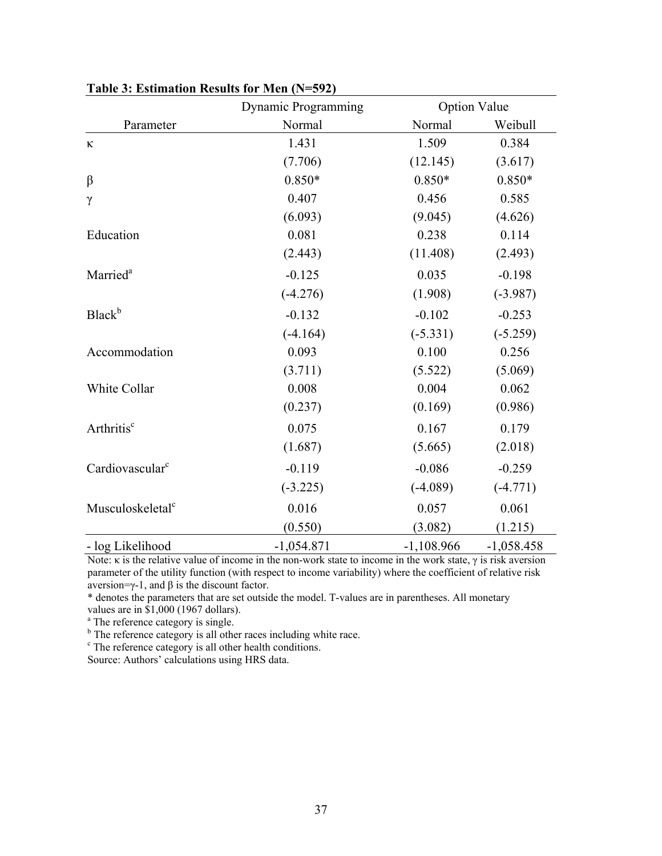|                              | Dynamic Programming |              | <b>Option Value</b> |
|------------------------------|---------------------|--------------|---------------------|
| Parameter                    | Normal              | Normal       | Weibull             |
| К                            | 1.431               | 1.509        | 0.384               |
|                              | (7.706)             | (12.145)     | (3.617)             |
| $\beta$                      | $0.850*$            | $0.850*$     | $0.850*$            |
| $\gamma$                     | 0.407               | 0.456        | 0.585               |
|                              | (6.093)             | (9.045)      | (4.626)             |
| Education                    | 0.081               | 0.238        | 0.114               |
|                              | (2.443)             | (11.408)     | (2.493)             |
| Married <sup>a</sup>         | $-0.125$            | 0.035        | $-0.198$            |
|                              | $(-4.276)$          | (1.908)      | $(-3.987)$          |
| <b>Black</b> <sup>b</sup>    | $-0.132$            | $-0.102$     | $-0.253$            |
|                              | $(-4.164)$          | $(-5.331)$   | $(-5.259)$          |
| Accommodation                | 0.093               | 0.100        | 0.256               |
|                              | (3.711)             | (5.522)      | (5.069)             |
| White Collar                 | 0.008               | 0.004        | 0.062               |
|                              | (0.237)             | (0.169)      | (0.986)             |
| Arthritis <sup>c</sup>       | 0.075               | 0.167        | 0.179               |
|                              | (1.687)             | (5.665)      | (2.018)             |
| Cardiovascular <sup>c</sup>  | $-0.119$            | $-0.086$     | $-0.259$            |
|                              | $(-3.225)$          | $(-4.089)$   | $(-4.771)$          |
| Musculoskeletal <sup>c</sup> | 0.016               | 0.057        | 0.061               |
|                              | (0.550)             | (3.082)      | (1.215)             |
| - log Likelihood             | $-1,054.871$        | $-1,108.966$ | $-1,058.458$        |

**Table 3: Estimation Results for Men (N=592)** 

Note: κ is the relative value of income in the non-work state to income in the work state,  $γ$  is risk aversion parameter of the utility function (with respect to income variability) where the coefficient of relative risk aversion=γ-1, and β is the discount factor.

\* denotes the parameters that are set outside the model. T-values are in parentheses. All monetary values are in \$1,000 (1967 dollars).

 $b<sup>b</sup>$  The reference category is single.<br>  $b<sup>b</sup>$  The reference category is all other races including white race.

<sup>c</sup> The reference category is all other health conditions.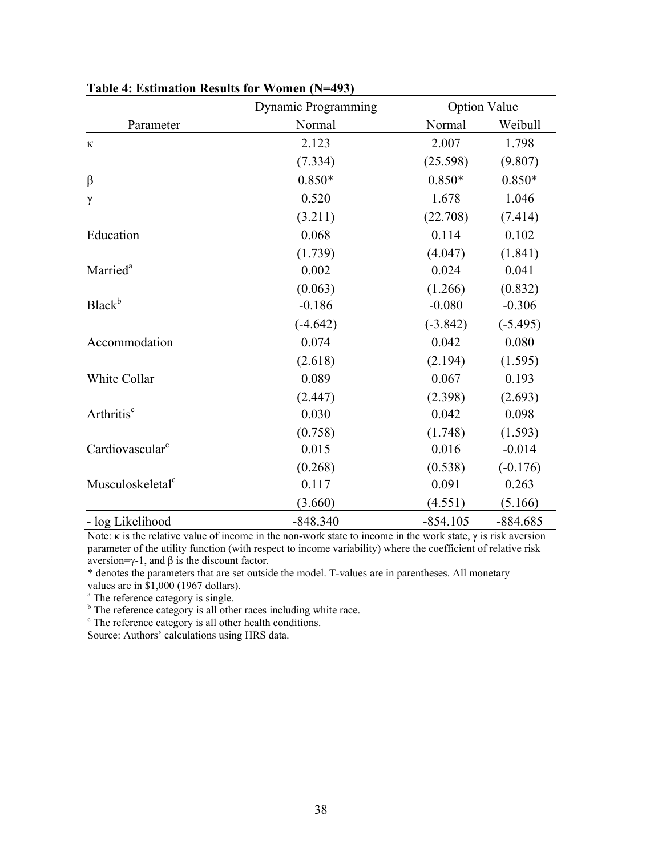|                              | Dynamic Programming |            | <b>Option Value</b> |
|------------------------------|---------------------|------------|---------------------|
| Parameter                    | Normal              | Normal     | Weibull             |
| К                            | 2.123               | 2.007      | 1.798               |
|                              | (7.334)             | (25.598)   | (9.807)             |
| $\beta$                      | $0.850*$            | $0.850*$   | $0.850*$            |
| $\gamma$                     | 0.520               | 1.678      | 1.046               |
|                              | (3.211)             | (22.708)   | (7.414)             |
| Education                    | 0.068               | 0.114      | 0.102               |
|                              | (1.739)             | (4.047)    | (1.841)             |
| Married <sup>a</sup>         | 0.002               | 0.024      | 0.041               |
|                              | (0.063)             | (1.266)    | (0.832)             |
| Black <sup>b</sup>           | $-0.186$            | $-0.080$   | $-0.306$            |
|                              | $(-4.642)$          | $(-3.842)$ | $(-5.495)$          |
| Accommodation                | 0.074               | 0.042      | 0.080               |
|                              | (2.618)             | (2.194)    | (1.595)             |
| White Collar                 | 0.089               | 0.067      | 0.193               |
|                              | (2.447)             | (2.398)    | (2.693)             |
| Arthritis <sup>c</sup>       | 0.030               | 0.042      | 0.098               |
|                              | (0.758)             | (1.748)    | (1.593)             |
| Cardiovascular <sup>c</sup>  | 0.015               | 0.016      | $-0.014$            |
|                              | (0.268)             | (0.538)    | $(-0.176)$          |
| Musculoskeletal <sup>c</sup> | 0.117               | 0.091      | 0.263               |
|                              | (3.660)             | (4.551)    | (5.166)             |
| - log Likelihood             | $-848.340$          | $-854.105$ | $-884.685$          |

**Table 4: Estimation Results for Women (N=493)** 

Note: κ is the relative value of income in the non-work state to income in the work state,  $γ$  is risk aversion parameter of the utility function (with respect to income variability) where the coefficient of relative risk aversion=γ-1, and β is the discount factor.

\* denotes the parameters that are set outside the model. T-values are in parentheses. All monetary

values are in \$1,000 (1967 dollars).

 $b<sup>b</sup>$  The reference category is single.<br>  $b<sup>b</sup>$  The reference category is all other races including white race.

<sup>c</sup> The reference category is all other health conditions.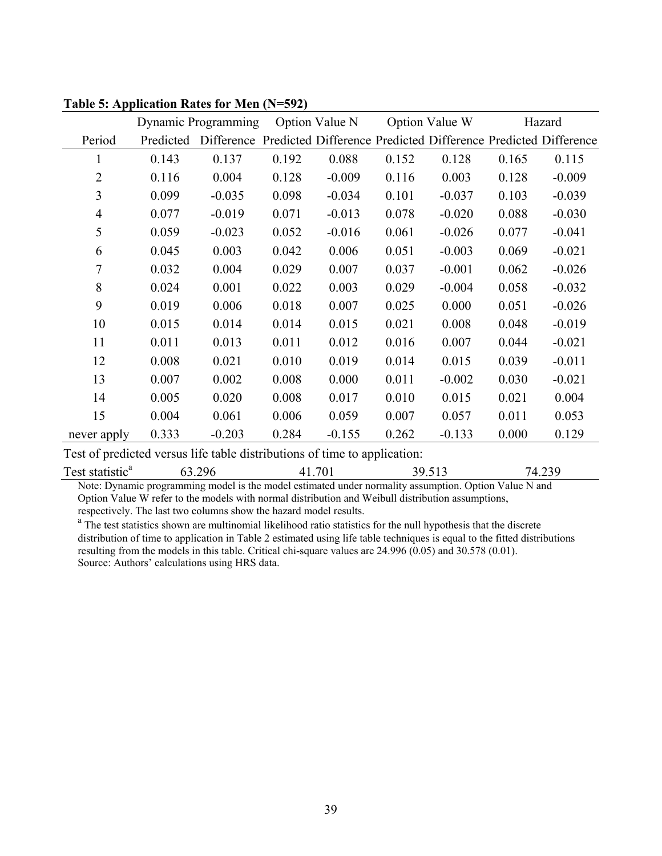|                |           | Dynamic Programming                                                       |       | Option Value N |       | Option Value W |       | Hazard   |
|----------------|-----------|---------------------------------------------------------------------------|-------|----------------|-------|----------------|-------|----------|
| Period         | Predicted | Difference Predicted Difference Predicted Difference Predicted Difference |       |                |       |                |       |          |
| $\mathbf{1}$   | 0.143     | 0.137                                                                     | 0.192 | 0.088          | 0.152 | 0.128          | 0.165 | 0.115    |
| 2              | 0.116     | 0.004                                                                     | 0.128 | $-0.009$       | 0.116 | 0.003          | 0.128 | $-0.009$ |
| 3              | 0.099     | $-0.035$                                                                  | 0.098 | $-0.034$       | 0.101 | $-0.037$       | 0.103 | $-0.039$ |
| $\overline{4}$ | 0.077     | $-0.019$                                                                  | 0.071 | $-0.013$       | 0.078 | $-0.020$       | 0.088 | $-0.030$ |
| 5              | 0.059     | $-0.023$                                                                  | 0.052 | $-0.016$       | 0.061 | $-0.026$       | 0.077 | $-0.041$ |
| 6              | 0.045     | 0.003                                                                     | 0.042 | 0.006          | 0.051 | $-0.003$       | 0.069 | $-0.021$ |
| 7              | 0.032     | 0.004                                                                     | 0.029 | 0.007          | 0.037 | $-0.001$       | 0.062 | $-0.026$ |
| 8              | 0.024     | 0.001                                                                     | 0.022 | 0.003          | 0.029 | $-0.004$       | 0.058 | $-0.032$ |
| 9              | 0.019     | 0.006                                                                     | 0.018 | 0.007          | 0.025 | 0.000          | 0.051 | $-0.026$ |
| 10             | 0.015     | 0.014                                                                     | 0.014 | 0.015          | 0.021 | 0.008          | 0.048 | $-0.019$ |
| 11             | 0.011     | 0.013                                                                     | 0.011 | 0.012          | 0.016 | 0.007          | 0.044 | $-0.021$ |
| 12             | 0.008     | 0.021                                                                     | 0.010 | 0.019          | 0.014 | 0.015          | 0.039 | $-0.011$ |
| 13             | 0.007     | 0.002                                                                     | 0.008 | 0.000          | 0.011 | $-0.002$       | 0.030 | $-0.021$ |
| 14             | 0.005     | 0.020                                                                     | 0.008 | 0.017          | 0.010 | 0.015          | 0.021 | 0.004    |
| 15             | 0.004     | 0.061                                                                     | 0.006 | 0.059          | 0.007 | 0.057          | 0.011 | 0.053    |
| never apply    | 0.333     | $-0.203$                                                                  | 0.284 | $-0.155$       | 0.262 | $-0.133$       | 0.000 | 0.129    |

**Table 5: Application Rates for Men (N=592)** 

Test of predicted versus life table distributions of time to application:

Test statistic<sup>a</sup> 63.296 41.701 39.513 74.239

Note: Dynamic programming model is the model estimated under normality assumption. Option Value N and Option Value W refer to the models with normal distribution and Weibull distribution assumptions, respectively. The last two columns show the hazard model results.

<sup>a</sup> The test statistics shown are multinomial likelihood ratio statistics for the null hypothesis that the discrete distribution of time to application in Table 2 estimated using life table techniques is equal to the fitted distributions resulting from the models in this table. Critical chi-square values are 24.996 (0.05) and 30.578 (0.01). Source: Authors' calculations using HRS data.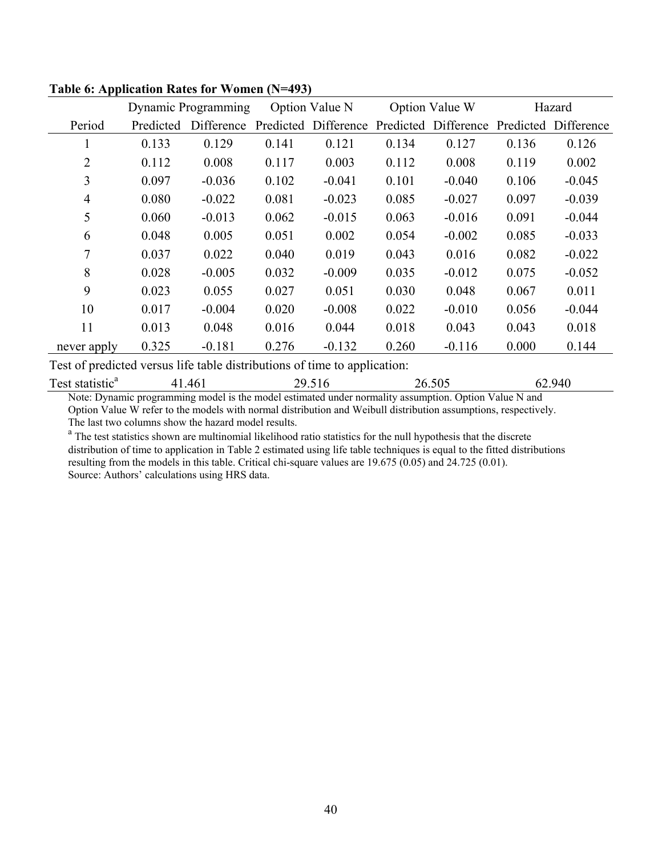|                |           | Dynamic Programming |           | Option Value N |           | Option Value W |           | Hazard     |
|----------------|-----------|---------------------|-----------|----------------|-----------|----------------|-----------|------------|
| Period         | Predicted | Difference          | Predicted | Difference     | Predicted | Difference     | Predicted | Difference |
| $\mathbf{I}$   | 0.133     | 0.129               | 0.141     | 0.121          | 0.134     | 0.127          | 0.136     | 0.126      |
| $\overline{2}$ | 0.112     | 0.008               | 0.117     | 0.003          | 0.112     | 0.008          | 0.119     | 0.002      |
| 3              | 0.097     | $-0.036$            | 0.102     | $-0.041$       | 0.101     | $-0.040$       | 0.106     | $-0.045$   |
| 4              | 0.080     | $-0.022$            | 0.081     | $-0.023$       | 0.085     | $-0.027$       | 0.097     | $-0.039$   |
| 5              | 0.060     | $-0.013$            | 0.062     | $-0.015$       | 0.063     | $-0.016$       | 0.091     | $-0.044$   |
| 6              | 0.048     | 0.005               | 0.051     | 0.002          | 0.054     | $-0.002$       | 0.085     | $-0.033$   |
| 7              | 0.037     | 0.022               | 0.040     | 0.019          | 0.043     | 0.016          | 0.082     | $-0.022$   |
| 8              | 0.028     | $-0.005$            | 0.032     | $-0.009$       | 0.035     | $-0.012$       | 0.075     | $-0.052$   |
| 9              | 0.023     | 0.055               | 0.027     | 0.051          | 0.030     | 0.048          | 0.067     | 0.011      |
| 10             | 0.017     | $-0.004$            | 0.020     | $-0.008$       | 0.022     | $-0.010$       | 0.056     | $-0.044$   |
| 11             | 0.013     | 0.048               | 0.016     | 0.044          | 0.018     | 0.043          | 0.043     | 0.018      |
| never apply    | 0.325     | $-0.181$            | 0.276     | $-0.132$       | 0.260     | $-0.116$       | 0.000     | 0.144      |

## **Table 6: Application Rates for Women (N=493)**

Test of predicted versus life table distributions of time to application:

| Test<br>statistic <sup>a</sup> | -46. | ``<br>◡ | ۰^`<br>ഗ∟<br>).JUJ<br>. | ، ۱۸۴<br>гv.<br>$ -$ |
|--------------------------------|------|---------|-------------------------|----------------------|
|                                |      |         |                         |                      |

Note: Dynamic programming model is the model estimated under normality assumption. Option Value N and Option Value W refer to the models with normal distribution and Weibull distribution assumptions, respectively. The last two columns show the hazard model results.

<sup>a</sup> The test statistics shown are multinomial likelihood ratio statistics for the null hypothesis that the discrete distribution of time to application in Table 2 estimated using life table techniques is equal to the fitted distributions resulting from the models in this table. Critical chi-square values are 19.675 (0.05) and 24.725 (0.01). Source: Authors' calculations using HRS data.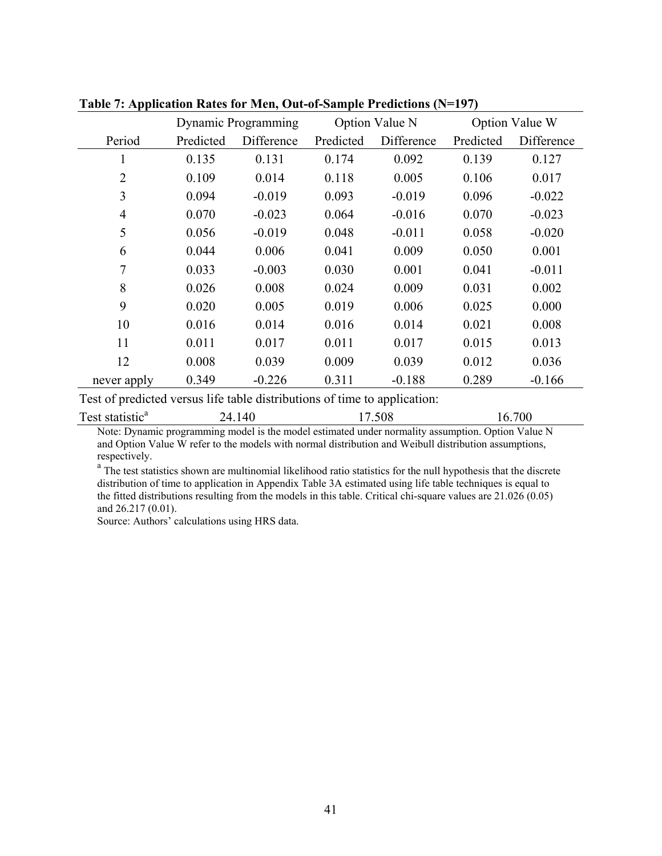|                | Dynamic Programming |            | Option Value N |            | Option Value W |            |
|----------------|---------------------|------------|----------------|------------|----------------|------------|
| Period         | Predicted           | Difference | Predicted      | Difference | Predicted      | Difference |
| 1              | 0.135               | 0.131      | 0.174          | 0.092      | 0.139          | 0.127      |
| $\overline{2}$ | 0.109               | 0.014      | 0.118          | 0.005      | 0.106          | 0.017      |
| 3              | 0.094               | $-0.019$   | 0.093          | $-0.019$   | 0.096          | $-0.022$   |
| 4              | 0.070               | $-0.023$   | 0.064          | $-0.016$   | 0.070          | $-0.023$   |
| 5              | 0.056               | $-0.019$   | 0.048          | $-0.011$   | 0.058          | $-0.020$   |
| 6              | 0.044               | 0.006      | 0.041          | 0.009      | 0.050          | 0.001      |
| 7              | 0.033               | $-0.003$   | 0.030          | 0.001      | 0.041          | $-0.011$   |
| 8              | 0.026               | 0.008      | 0.024          | 0.009      | 0.031          | 0.002      |
| 9              | 0.020               | 0.005      | 0.019          | 0.006      | 0.025          | 0.000      |
| 10             | 0.016               | 0.014      | 0.016          | 0.014      | 0.021          | 0.008      |
| 11             | 0.011               | 0.017      | 0.011          | 0.017      | 0.015          | 0.013      |
| 12             | 0.008               | 0.039      | 0.009          | 0.039      | 0.012          | 0.036      |
| never apply    | 0.349               | $-0.226$   | 0.311          | $-0.188$   | 0.289          | $-0.166$   |

**Table 7: Application Rates for Men, Out-of-Sample Predictions (N=197)** 

Test of predicted versus life table distributions of time to application:

| $\mathbf{r}$<br>. statistic"<br><b>T</b> est<br>. | $\Lambda$<br>$\sim$ $\sim$ $\sim$ $\sim$ $\sim$ $\sim$ | 508 | 700<br>h |
|---------------------------------------------------|--------------------------------------------------------|-----|----------|
|                                                   |                                                        |     |          |

Note: Dynamic programming model is the model estimated under normality assumption. Option Value N and Option Value W refer to the models with normal distribution and Weibull distribution assumptions, respectively.

<sup>a</sup> The test statistics shown are multinomial likelihood ratio statistics for the null hypothesis that the discrete distribution of time to application in Appendix Table 3A estimated using life table techniques is equal to the fitted distributions resulting from the models in this table. Critical chi-square values are 21.026 (0.05) and 26.217 (0.01).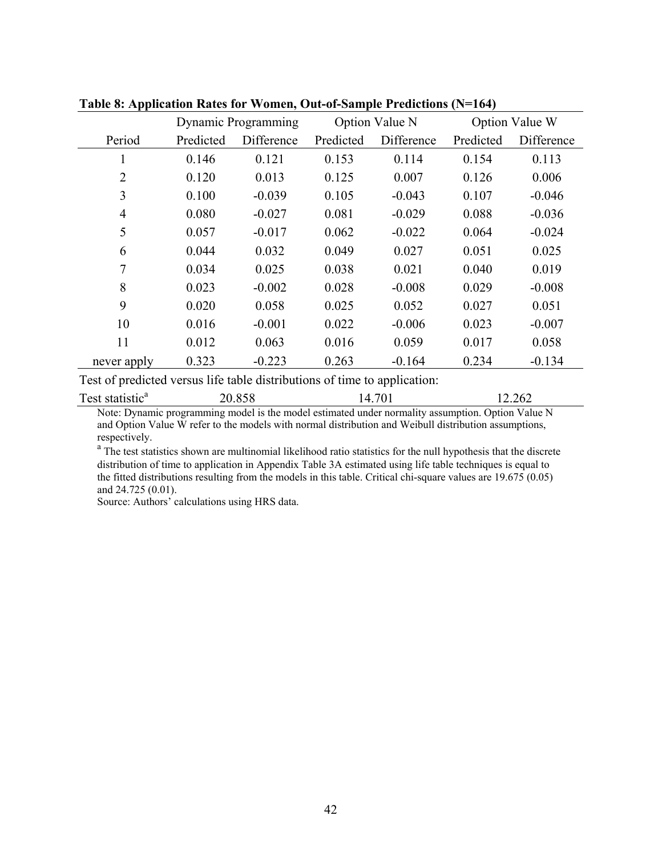|                | Dynamic Programming |            | Option Value N |            | Option Value W |            |
|----------------|---------------------|------------|----------------|------------|----------------|------------|
| Period         | Predicted           | Difference | Predicted      | Difference | Predicted      | Difference |
| T              | 0.146               | 0.121      | 0.153          | 0.114      | 0.154          | 0.113      |
| $\overline{2}$ | 0.120               | 0.013      | 0.125          | 0.007      | 0.126          | 0.006      |
| 3              | 0.100               | $-0.039$   | 0.105          | $-0.043$   | 0.107          | $-0.046$   |
| $\overline{4}$ | 0.080               | $-0.027$   | 0.081          | $-0.029$   | 0.088          | $-0.036$   |
| 5              | 0.057               | $-0.017$   | 0.062          | $-0.022$   | 0.064          | $-0.024$   |
| 6              | 0.044               | 0.032      | 0.049          | 0.027      | 0.051          | 0.025      |
| 7              | 0.034               | 0.025      | 0.038          | 0.021      | 0.040          | 0.019      |
| 8              | 0.023               | $-0.002$   | 0.028          | $-0.008$   | 0.029          | $-0.008$   |
| 9              | 0.020               | 0.058      | 0.025          | 0.052      | 0.027          | 0.051      |
| 10             | 0.016               | $-0.001$   | 0.022          | $-0.006$   | 0.023          | $-0.007$   |
| 11             | 0.012               | 0.063      | 0.016          | 0.059      | 0.017          | 0.058      |
| never apply    | 0.323               | $-0.223$   | 0.263          | $-0.164$   | 0.234          | $-0.134$   |

**Table 8: Application Rates for Women, Out-of-Sample Predictions (N=164)** 

Test of predicted versus life table distributions of time to application:

| Test statistic <sup>a</sup><br>20.858<br>12.262<br>7. / V 1 |
|-------------------------------------------------------------|
|-------------------------------------------------------------|

Note: Dynamic programming model is the model estimated under normality assumption. Option Value N and Option Value W refer to the models with normal distribution and Weibull distribution assumptions, respectively.

<sup>a</sup> The test statistics shown are multinomial likelihood ratio statistics for the null hypothesis that the discrete distribution of time to application in Appendix Table 3A estimated using life table techniques is equal to the fitted distributions resulting from the models in this table. Critical chi-square values are 19.675 (0.05) and 24.725 (0.01).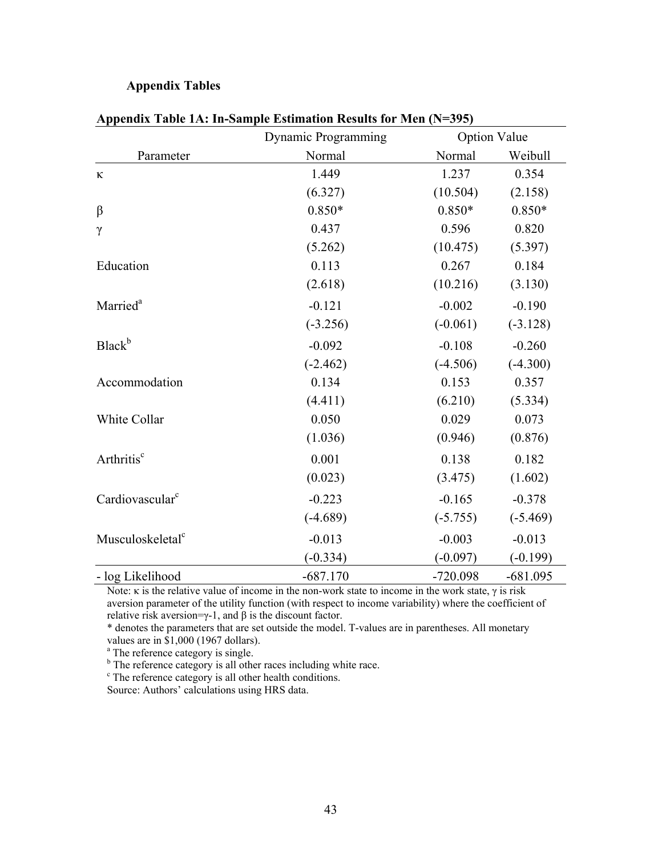### **Appendix Tables**

|                              | Dynamic Programming | <b>Option Value</b> |            |  |
|------------------------------|---------------------|---------------------|------------|--|
| Parameter                    | Normal              | Normal              | Weibull    |  |
| $\kappa$                     | 1.449               | 1.237               | 0.354      |  |
|                              | (6.327)             | (10.504)            | (2.158)    |  |
| $\beta$                      | $0.850*$            | $0.850*$            | $0.850*$   |  |
| $\gamma$                     | 0.437               | 0.596               | 0.820      |  |
|                              | (5.262)             | (10.475)            | (5.397)    |  |
| Education                    | 0.113               | 0.267               | 0.184      |  |
|                              | (2.618)             | (10.216)            | (3.130)    |  |
| Married <sup>a</sup>         | $-0.121$            | $-0.002$            | $-0.190$   |  |
|                              | $(-3.256)$          | $(-0.061)$          | $(-3.128)$ |  |
| Black <sup>b</sup>           | $-0.092$            | $-0.108$            | $-0.260$   |  |
|                              | $(-2.462)$          | $(-4.506)$          | $(-4.300)$ |  |
| Accommodation                | 0.134               | 0.153               | 0.357      |  |
|                              | (4.411)             | (6.210)             | (5.334)    |  |
| White Collar                 | 0.050               | 0.029               | 0.073      |  |
|                              | (1.036)             | (0.946)             | (0.876)    |  |
| Arthritis <sup>c</sup>       | 0.001               | 0.138               | 0.182      |  |
|                              | (0.023)             | (3.475)             | (1.602)    |  |
| Cardiovascular <sup>c</sup>  | $-0.223$            | $-0.165$            | $-0.378$   |  |
|                              | $(-4.689)$          | $(-5.755)$          | $(-5.469)$ |  |
| Musculoskeletal <sup>c</sup> | $-0.013$            | $-0.003$            | $-0.013$   |  |
|                              | $(-0.334)$          | $(-0.097)$          | $(-0.199)$ |  |
| - log Likelihood             | $-687.170$          | $-720.098$          | $-681.095$ |  |

### **Appendix Table 1A: In-Sample Estimation Results for Men (N=395)**

Note: κ is the relative value of income in the non-work state to income in the work state,  $γ$  is risk aversion parameter of the utility function (with respect to income variability) where the coefficient of relative risk aversion=γ-1, and β is the discount factor.

\* denotes the parameters that are set outside the model. T-values are in parentheses. All monetary values are in \$1,000 (1967 dollars).

<sup>a</sup> The reference category is single.

<sup>b</sup> The reference category is all other races including white race.

<sup>c</sup> The reference category is all other health conditions.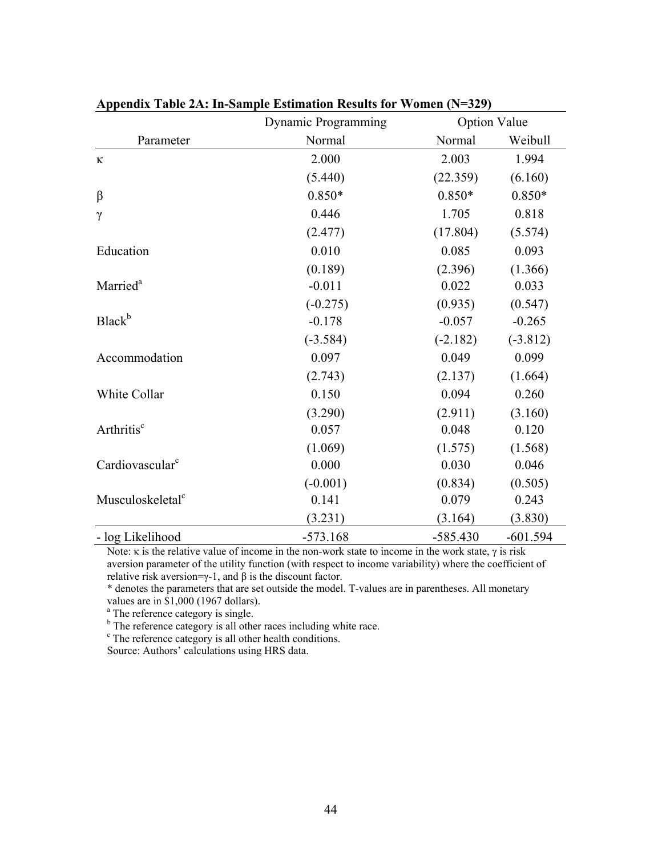|                              | Dynamic Programming |            | <b>Option Value</b> |  |
|------------------------------|---------------------|------------|---------------------|--|
| Parameter                    | Normal              | Normal     | Weibull             |  |
| $\kappa$                     | 2.000               | 2.003      | 1.994               |  |
|                              | (5.440)             | (22.359)   | (6.160)             |  |
| $\beta$                      | $0.850*$            | $0.850*$   | $0.850*$            |  |
| $\gamma$                     | 0.446               | 1.705      | 0.818               |  |
|                              | (2.477)             | (17.804)   | (5.574)             |  |
| Education                    | 0.010               | 0.085      | 0.093               |  |
|                              | (0.189)             | (2.396)    | (1.366)             |  |
| Married <sup>a</sup>         | $-0.011$            | 0.022      | 0.033               |  |
|                              | $(-0.275)$          | (0.935)    | (0.547)             |  |
| Black <sup>b</sup>           | $-0.178$            | $-0.057$   | $-0.265$            |  |
|                              | $(-3.584)$          | $(-2.182)$ | $(-3.812)$          |  |
| Accommodation                | 0.097               | 0.049      | 0.099               |  |
|                              | (2.743)             | (2.137)    | (1.664)             |  |
| White Collar                 | 0.150               | 0.094      | 0.260               |  |
|                              | (3.290)             | (2.911)    | (3.160)             |  |
| Arthritis <sup>c</sup>       | 0.057               | 0.048      | 0.120               |  |
|                              | (1.069)             | (1.575)    | (1.568)             |  |
| Cardiovascular <sup>c</sup>  | 0.000               | 0.030      | 0.046               |  |
|                              | $(-0.001)$          | (0.834)    | (0.505)             |  |
| Musculoskeletal <sup>c</sup> | 0.141               | 0.079      | 0.243               |  |
|                              | (3.231)             | (3.164)    | (3.830)             |  |
| - log Likelihood             | $-573.168$          | $-585.430$ | $-601.594$          |  |

### **Appendix Table 2A: In-Sample Estimation Results for Women (N=329)**

Note: κ is the relative value of income in the non-work state to income in the work state,  $γ$  is risk aversion parameter of the utility function (with respect to income variability) where the coefficient of relative risk aversion=γ-1, and  $β$  is the discount factor.

\* denotes the parameters that are set outside the model. T-values are in parentheses. All monetary values are in \$1,000 (1967 dollars).

<sup>a</sup> The reference category is single.

<sup>b</sup> The reference category is all other races including white race.

<sup>c</sup> The reference category is all other health conditions.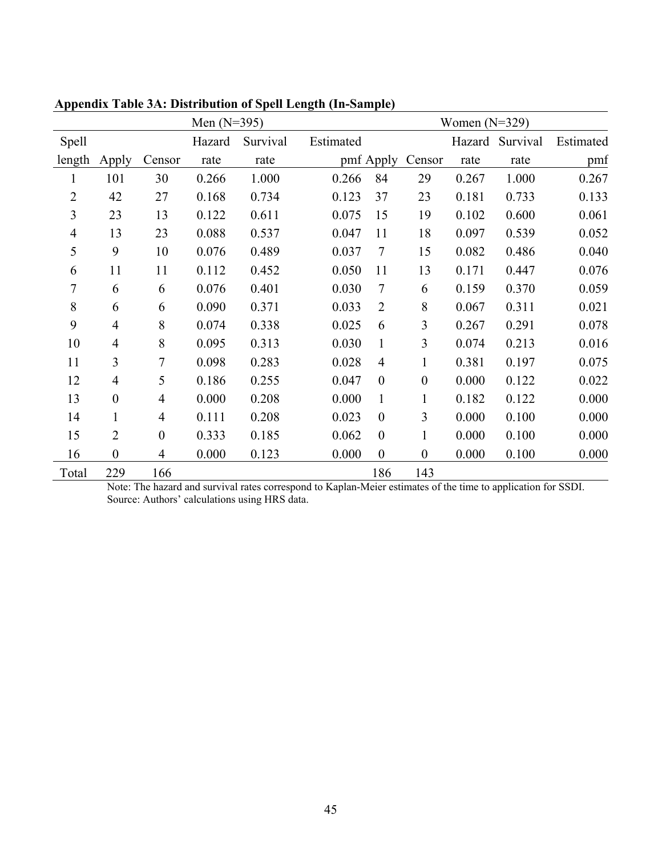| Men $(N=395)$  |                  |                  | Women $(N=329)$ |          |           |                  |                  |        |          |           |
|----------------|------------------|------------------|-----------------|----------|-----------|------------------|------------------|--------|----------|-----------|
| Spell          |                  |                  | Hazard          | Survival | Estimated |                  |                  | Hazard | Survival | Estimated |
| length         | Apply            | Censor           | rate            | rate     |           | pmf Apply        | Censor           | rate   | rate     | pmf       |
| 1              | 101              | 30               | 0.266           | 1.000    | 0.266     | 84               | 29               | 0.267  | 1.000    | 0.267     |
| $\overline{2}$ | 42               | 27               | 0.168           | 0.734    | 0.123     | 37               | 23               | 0.181  | 0.733    | 0.133     |
| 3              | 23               | 13               | 0.122           | 0.611    | 0.075     | 15               | 19               | 0.102  | 0.600    | 0.061     |
| $\overline{4}$ | 13               | 23               | 0.088           | 0.537    | 0.047     | 11               | 18               | 0.097  | 0.539    | 0.052     |
| 5              | 9                | 10               | 0.076           | 0.489    | 0.037     | $\tau$           | 15               | 0.082  | 0.486    | 0.040     |
| 6              | 11               | 11               | 0.112           | 0.452    | 0.050     | 11               | 13               | 0.171  | 0.447    | 0.076     |
| 7              | 6                | 6                | 0.076           | 0.401    | 0.030     | $\tau$           | 6                | 0.159  | 0.370    | 0.059     |
| 8              | 6                | 6                | 0.090           | 0.371    | 0.033     | $\overline{2}$   | 8                | 0.067  | 0.311    | 0.021     |
| 9              | $\overline{4}$   | 8                | 0.074           | 0.338    | 0.025     | 6                | $\overline{3}$   | 0.267  | 0.291    | 0.078     |
| 10             | $\overline{4}$   | 8                | 0.095           | 0.313    | 0.030     | $\mathbf{1}$     | $\overline{3}$   | 0.074  | 0.213    | 0.016     |
| 11             | 3                | 7                | 0.098           | 0.283    | 0.028     | $\overline{4}$   | $\mathbf{1}$     | 0.381  | 0.197    | 0.075     |
| 12             | $\overline{4}$   | 5                | 0.186           | 0.255    | 0.047     | $\overline{0}$   | $\mathbf{0}$     | 0.000  | 0.122    | 0.022     |
| 13             | $\boldsymbol{0}$ | $\overline{4}$   | 0.000           | 0.208    | 0.000     | $\mathbf{1}$     | 1                | 0.182  | 0.122    | 0.000     |
| 14             | $\mathbf{1}$     | 4                | 0.111           | 0.208    | 0.023     | $\boldsymbol{0}$ | 3                | 0.000  | 0.100    | 0.000     |
| 15             | $\overline{2}$   | $\boldsymbol{0}$ | 0.333           | 0.185    | 0.062     | $\boldsymbol{0}$ | $\mathbf{1}$     | 0.000  | 0.100    | 0.000     |
| 16             | $\boldsymbol{0}$ | $\overline{4}$   | 0.000           | 0.123    | 0.000     | $\boldsymbol{0}$ | $\boldsymbol{0}$ | 0.000  | 0.100    | 0.000     |
| Total          | 229              | 166              |                 |          |           | 186              | 143              |        |          |           |

**Appendix Table 3A: Distribution of Spell Length (In-Sample)**

Note: The hazard and survival rates correspond to Kaplan-Meier estimates of the time to application for SSDI. Source: Authors' calculations using HRS data.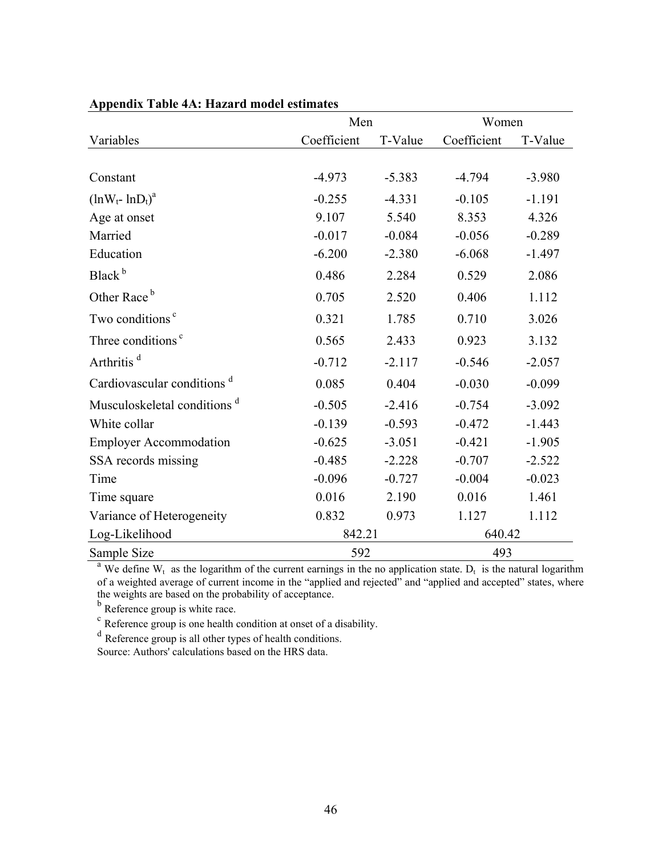|                                         | Men         |          | Women       |          |
|-----------------------------------------|-------------|----------|-------------|----------|
| Variables                               | Coefficient | T-Value  | Coefficient | T-Value  |
|                                         |             |          |             |          |
| Constant                                | $-4.973$    | $-5.383$ | $-4.794$    | $-3.980$ |
| $(lnW_t - lnD_t)^a$                     | $-0.255$    | $-4.331$ | $-0.105$    | $-1.191$ |
| Age at onset                            | 9.107       | 5.540    | 8.353       | 4.326    |
| Married                                 | $-0.017$    | $-0.084$ | $-0.056$    | $-0.289$ |
| Education                               | $-6.200$    | $-2.380$ | $-6.068$    | $-1.497$ |
| Black <sup>b</sup>                      | 0.486       | 2.284    | 0.529       | 2.086    |
| Other Race <sup>b</sup>                 | 0.705       | 2.520    | 0.406       | 1.112    |
| Two conditions <sup>c</sup>             | 0.321       | 1.785    | 0.710       | 3.026    |
| Three conditions <sup>c</sup>           | 0.565       | 2.433    | 0.923       | 3.132    |
| Arthritis <sup>d</sup>                  | $-0.712$    | $-2.117$ | $-0.546$    | $-2.057$ |
| Cardiovascular conditions <sup>d</sup>  | 0.085       | 0.404    | $-0.030$    | $-0.099$ |
| Musculoskeletal conditions <sup>d</sup> | $-0.505$    | $-2.416$ | $-0.754$    | $-3.092$ |
| White collar                            | $-0.139$    | $-0.593$ | $-0.472$    | $-1.443$ |
| <b>Employer Accommodation</b>           | $-0.625$    | $-3.051$ | $-0.421$    | $-1.905$ |
| SSA records missing                     | $-0.485$    | $-2.228$ | $-0.707$    | $-2.522$ |
| Time                                    | $-0.096$    | $-0.727$ | $-0.004$    | $-0.023$ |
| Time square                             | 0.016       | 2.190    | 0.016       | 1.461    |
| Variance of Heterogeneity               | 0.832       | 0.973    | 1.127       | 1.112    |
| Log-Likelihood                          | 842.21      |          | 640.42      |          |
| Sample Size                             | 592         |          | 493         |          |

#### **Appendix Table 4A: Hazard model estimates**

<sup>a</sup> We define W<sub>t</sub> as the logarithm of the current earnings in the no application state. D<sub>t</sub> is the natural logarithm of a weighted average of current income in the "applied and rejected" and "applied and accepted" states, where the weights are based on the probability of acceptance.

b Reference group is white race.

 $\epsilon$  Reference group is one health condition at onset of a disability.

<sup>d</sup> Reference group is all other types of health conditions.

Source: Authors' calculations based on the HRS data.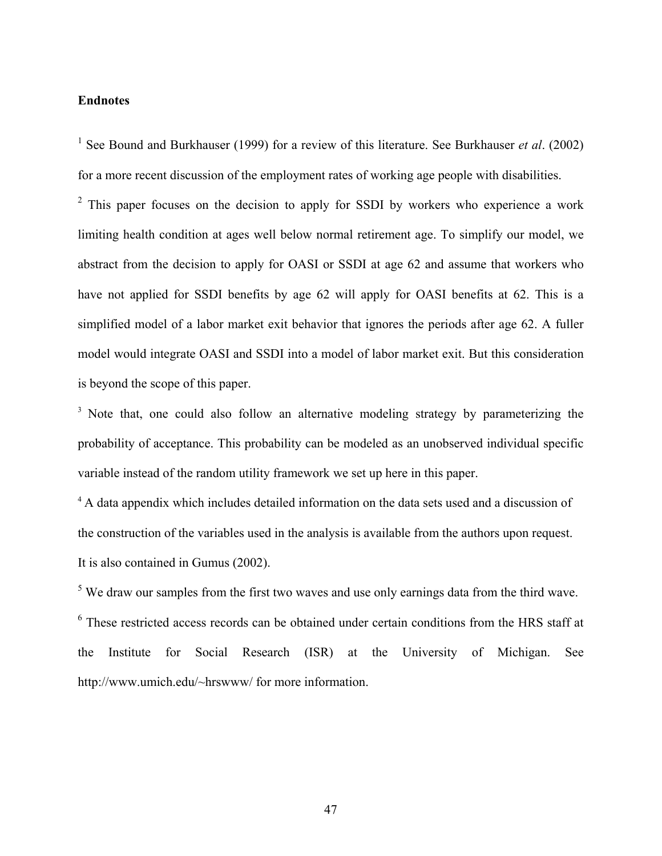#### **Endnotes**

<sup>1</sup> See Bound and Burkhauser (1999) for a review of this literature. See Burkhauser *et al.* (2002) for a more recent discussion of the employment rates of working age people with disabilities.

 $2$  This paper focuses on the decision to apply for SSDI by workers who experience a work limiting health condition at ages well below normal retirement age. To simplify our model, we abstract from the decision to apply for OASI or SSDI at age 62 and assume that workers who have not applied for SSDI benefits by age 62 will apply for OASI benefits at 62. This is a simplified model of a labor market exit behavior that ignores the periods after age 62. A fuller model would integrate OASI and SSDI into a model of labor market exit. But this consideration is beyond the scope of this paper.

<sup>3</sup> Note that, one could also follow an alternative modeling strategy by parameterizing the probability of acceptance. This probability can be modeled as an unobserved individual specific variable instead of the random utility framework we set up here in this paper.

<sup>4</sup> A data appendix which includes detailed information on the data sets used and a discussion of the construction of the variables used in the analysis is available from the authors upon request. It is also contained in Gumus (2002).

 $<sup>5</sup>$  We draw our samples from the first two waves and use only earnings data from the third wave.</sup> <sup>6</sup> These restricted access records can be obtained under certain conditions from the HRS staff at the Institute for Social Research (ISR) at the University of Michigan. See http://www.umich.edu/~hrswww/ for more information.

47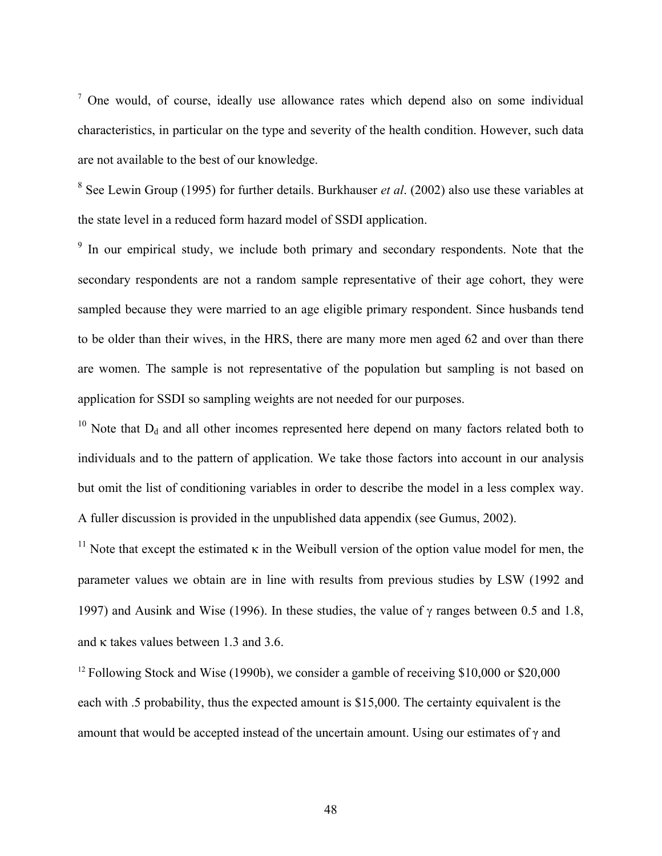<sup>7</sup> One would, of course, ideally use allowance rates which depend also on some individual characteristics, in particular on the type and severity of the health condition. However, such data are not available to the best of our knowledge.

8 See Lewin Group (1995) for further details. Burkhauser *et al*. (2002) also use these variables at the state level in a reduced form hazard model of SSDI application.

<sup>9</sup> In our empirical study, we include both primary and secondary respondents. Note that the secondary respondents are not a random sample representative of their age cohort, they were sampled because they were married to an age eligible primary respondent. Since husbands tend to be older than their wives, in the HRS, there are many more men aged 62 and over than there are women. The sample is not representative of the population but sampling is not based on application for SSDI so sampling weights are not needed for our purposes.

<sup>10</sup> Note that  $D_d$  and all other incomes represented here depend on many factors related both to individuals and to the pattern of application. We take those factors into account in our analysis but omit the list of conditioning variables in order to describe the model in a less complex way. A fuller discussion is provided in the unpublished data appendix (see Gumus, 2002).

<sup>11</sup> Note that except the estimated  $\kappa$  in the Weibull version of the option value model for men, the parameter values we obtain are in line with results from previous studies by LSW (1992 and 1997) and Ausink and Wise (1996). In these studies, the value of  $\gamma$  ranges between 0.5 and 1.8, and κ takes values between 1.3 and 3.6.

<sup>12</sup> Following Stock and Wise (1990b), we consider a gamble of receiving \$10,000 or \$20,000 each with .5 probability, thus the expected amount is \$15,000. The certainty equivalent is the amount that would be accepted instead of the uncertain amount. Using our estimates of  $\gamma$  and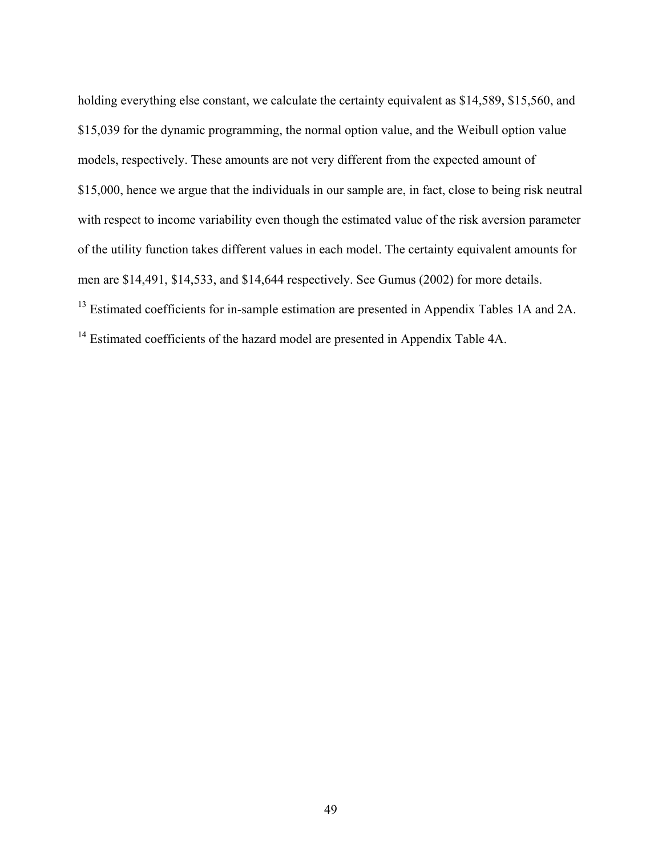holding everything else constant, we calculate the certainty equivalent as \$14,589, \$15,560, and \$15,039 for the dynamic programming, the normal option value, and the Weibull option value models, respectively. These amounts are not very different from the expected amount of \$15,000, hence we argue that the individuals in our sample are, in fact, close to being risk neutral with respect to income variability even though the estimated value of the risk aversion parameter of the utility function takes different values in each model. The certainty equivalent amounts for men are \$14,491, \$14,533, and \$14,644 respectively. See Gumus (2002) for more details.

<sup>13</sup> Estimated coefficients for in-sample estimation are presented in Appendix Tables 1A and 2A.

<sup>14</sup> Estimated coefficients of the hazard model are presented in Appendix Table 4A.